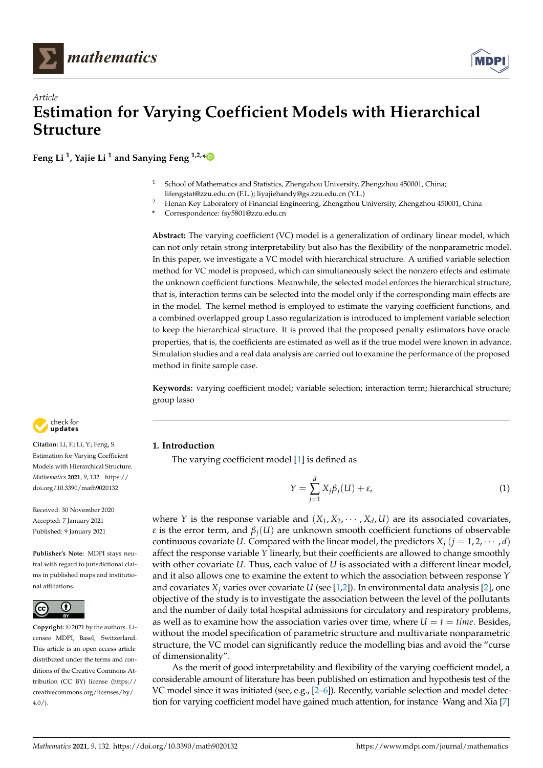



**Feng Li <sup>1</sup> , Yajie Li <sup>1</sup> and Sanying Feng 1,2,[\\*](https://orcid.org/0000-0002-4599-4489)**

- <sup>1</sup> School of Mathematics and Statistics, Zhengzhou University, Zhengzhou 450001, China; lifengstat@zzu.edu.cn (F.L.); liyajiehandy@gs.zzu.edu.cn (Y.L.)
- <sup>2</sup> Henan Key Laboratory of Financial Engineering, Zhengzhou University, Zhengzhou 450001, China
- **\*** Correspondence: fsy5801@zzu.edu.cn

**Abstract:** The varying coefficient (VC) model is a generalization of ordinary linear model, which can not only retain strong interpretability but also has the flexibility of the nonparametric model. In this paper, we investigate a VC model with hierarchical structure. A unified variable selection method for VC model is proposed, which can simultaneously select the nonzero effects and estimate the unknown coefficient functions. Meanwhile, the selected model enforces the hierarchical structure, that is, interaction terms can be selected into the model only if the corresponding main effects are in the model. The kernel method is employed to estimate the varying coefficient functions, and a combined overlapped group Lasso regularization is introduced to implement variable selection to keep the hierarchical structure. It is proved that the proposed penalty estimators have oracle properties, that is, the coefficients are estimated as well as if the true model were known in advance. Simulation studies and a real data analysis are carried out to examine the performance of the proposed method in finite sample case.

**Keywords:** varying coefficient model; variable selection; interaction term; hierarchical structure; group lasso

# **1. Introduction**

The varying coefficient model [\[1\]](#page-16-0) is defined as

$$
Y = \sum_{j=1}^{d} X_j \beta_j(U) + \varepsilon,\tag{1}
$$

where *Y* is the response variable and  $(X_1, X_2, \cdots, X_d, U)$  are its associated covariates, *ε* is the error term, and  $\beta_i(U)$  are unknown smooth coefficient functions of observable continuous covariate *U*. Compared with the linear model, the predictors  $X_i$  ( $j = 1, 2, \dots, d$ ) affect the response variable *Y* linearly, but their coefficients are allowed to change smoothly with other covariate *U*. Thus, each value of *U* is associated with a different linear model, and it also allows one to examine the extent to which the association between response *Y* and covariates *X<sup>j</sup>* varies over covariate *U* (see [\[1](#page-16-0)[,2\]](#page-16-1)). In environmental data analysis [\[2\]](#page-16-1), one objective of the study is to investigate the association between the level of the pollutants and the number of daily total hospital admissions for circulatory and respiratory problems, as well as to examine how the association varies over time, where  $U = t = time$ . Besides, without the model specification of parametric structure and multivariate nonparametric structure, the VC model can significantly reduce the modelling bias and avoid the "curse of dimensionality".

As the merit of good interpretability and flexibility of the varying coefficient model, a considerable amount of literature has been published on estimation and hypothesis test of the VC model since it was initiated (see, e.g., [\[2–](#page-16-1)[6\]](#page-16-2)). Recently, variable selection and model detection for varying coefficient model have gained much attention, for instance Wang and Xia [\[7\]](#page-16-3)



**Citation:** Li, F.; Li, Y.; Feng, S. Estimation for Varying Coefficient Models with Hierarchical Structure. *Mathematics* **2021**, *9*, 132. [https://](https://doi.org/10.3390/math9020132) [doi.org/10.3390/math9020132](https://doi.org/10.3390/math9020132)

Received: 30 November 2020 Accepted: 7 January 2021 Published: 9 January 2021

**Publisher's Note:** MDPI stays neutral with regard to jurisdictional claims in published maps and institutional affiliations.



**Copyright:** © 2021 by the authors. Licensee MDPI, Basel, Switzerland. This article is an open access article distributed under the terms and conditions of the Creative Commons Attribution (CC BY) license [\(https://](https://creativecommons.org/licenses/by/4.0/) [creativecommons.org/licenses/by/](https://creativecommons.org/licenses/by/4.0/)  $4.0/$ ).

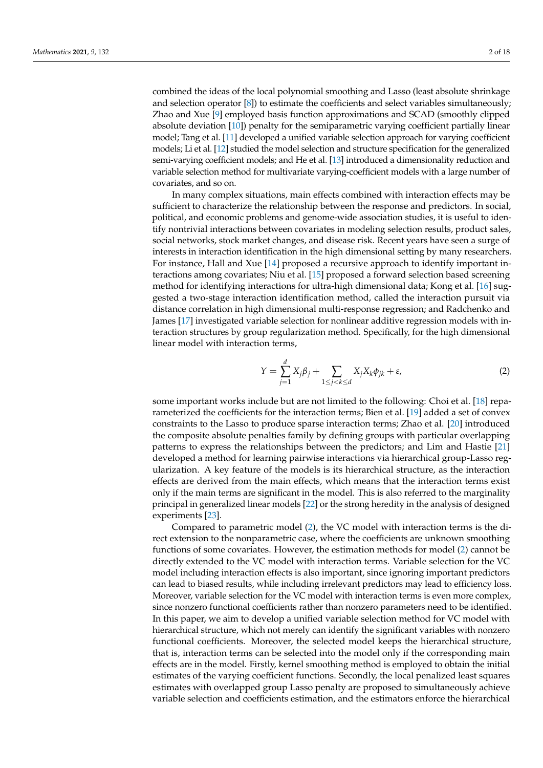combined the ideas of the local polynomial smoothing and Lasso (least absolute shrinkage and selection operator [\[8\]](#page-16-4)) to estimate the coefficients and select variables simultaneously; Zhao and Xue [\[9\]](#page-16-5) employed basis function approximations and SCAD (smoothly clipped absolute deviation [\[10\]](#page-16-6)) penalty for the semiparametric varying coefficient partially linear model; Tang et al. [\[11\]](#page-16-7) developed a unified variable selection approach for varying coefficient models; Li et al. [\[12\]](#page-16-8) studied the model selection and structure specification for the generalized semi-varying coefficient models; and He et al. [\[13\]](#page-16-9) introduced a dimensionality reduction and variable selection method for multivariate varying-coefficient models with a large number of covariates, and so on.

In many complex situations, main effects combined with interaction effects may be sufficient to characterize the relationship between the response and predictors. In social, political, and economic problems and genome-wide association studies, it is useful to identify nontrivial interactions between covariates in modeling selection results, product sales, social networks, stock market changes, and disease risk. Recent years have seen a surge of interests in interaction identification in the high dimensional setting by many researchers. For instance, Hall and Xue [\[14\]](#page-17-0) proposed a recursive approach to identify important interactions among covariates; Niu et al. [\[15\]](#page-17-1) proposed a forward selection based screening method for identifying interactions for ultra-high dimensional data; Kong et al. [\[16\]](#page-17-2) suggested a two-stage interaction identification method, called the interaction pursuit via distance correlation in high dimensional multi-response regression; and Radchenko and James [\[17\]](#page-17-3) investigated variable selection for nonlinear additive regression models with interaction structures by group regularization method. Specifically, for the high dimensional linear model with interaction terms,

<span id="page-1-0"></span>
$$
Y = \sum_{j=1}^{d} X_j \beta_j + \sum_{1 \le j < k \le d} X_j X_k \phi_{jk} + \varepsilon,\tag{2}
$$

some important works include but are not limited to the following: Choi et al. [\[18\]](#page-17-4) reparameterized the coefficients for the interaction terms; Bien et al. [\[19\]](#page-17-5) added a set of convex constraints to the Lasso to produce sparse interaction terms; Zhao et al. [\[20\]](#page-17-6) introduced the composite absolute penalties family by defining groups with particular overlapping patterns to express the relationships between the predictors; and Lim and Hastie [\[21\]](#page-17-7) developed a method for learning pairwise interactions via hierarchical group-Lasso regularization. A key feature of the models is its hierarchical structure, as the interaction effects are derived from the main effects, which means that the interaction terms exist only if the main terms are significant in the model. This is also referred to the marginality principal in generalized linear models [\[22\]](#page-17-8) or the strong heredity in the analysis of designed experiments [\[23\]](#page-17-9).

Compared to parametric model [\(2\)](#page-1-0), the VC model with interaction terms is the direct extension to the nonparametric case, where the coefficients are unknown smoothing functions of some covariates. However, the estimation methods for model [\(2\)](#page-1-0) cannot be directly extended to the VC model with interaction terms. Variable selection for the VC model including interaction effects is also important, since ignoring important predictors can lead to biased results, while including irrelevant predictors may lead to efficiency loss. Moreover, variable selection for the VC model with interaction terms is even more complex, since nonzero functional coefficients rather than nonzero parameters need to be identified. In this paper, we aim to develop a unified variable selection method for VC model with hierarchical structure, which not merely can identify the significant variables with nonzero functional coefficients. Moreover, the selected model keeps the hierarchical structure, that is, interaction terms can be selected into the model only if the corresponding main effects are in the model. Firstly, kernel smoothing method is employed to obtain the initial estimates of the varying coefficient functions. Secondly, the local penalized least squares estimates with overlapped group Lasso penalty are proposed to simultaneously achieve variable selection and coefficients estimation, and the estimators enforce the hierarchical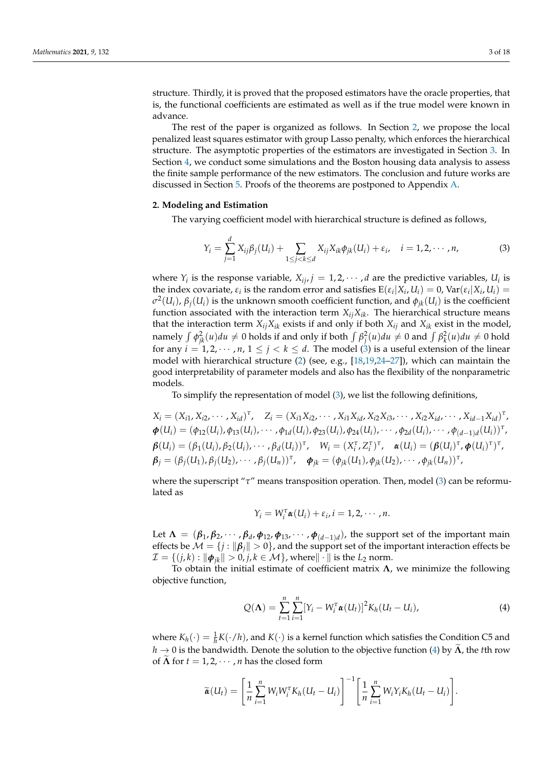structure. Thirdly, it is proved that the proposed estimators have the oracle properties, that is, the functional coefficients are estimated as well as if the true model were known in advance.

The rest of the paper is organized as follows. In Section [2,](#page-2-0) we propose the local penalized least squares estimator with group Lasso penalty, which enforces the hierarchical structure. The asymptotic properties of the estimators are investigated in Section [3.](#page-4-0) In Section [4,](#page-5-0) we conduct some simulations and the Boston housing data analysis to assess the finite sample performance of the new estimators. The conclusion and future works are discussed in Section [5.](#page-10-0) Proofs of the theorems are postponed to Appendix [A.](#page-10-1)

## <span id="page-2-0"></span>**2. Modeling and Estimation**

The varying coefficient model with hierarchical structure is defined as follows,

<span id="page-2-1"></span>
$$
Y_i = \sum_{j=1}^d X_{ij} \beta_j(U_i) + \sum_{1 \leq j < k \leq d} X_{ij} X_{ik} \phi_{jk}(U_i) + \varepsilon_i, \quad i = 1, 2, \cdots, n,
$$
\n
$$
(3)
$$

where  $Y_i$  is the response variable,  $X_{ij}$ ,  $j = 1, 2, \cdots, d$  are the predictive variables,  $U_i$  is the index covariate,  $\varepsilon_i$  is the random error and satisfies  $E(\varepsilon_i|X_i, U_i) = 0$ ,  $Var(\varepsilon_i|X_i, U_i) =$ *σ* 2 (*Ui*), *βj*(*Ui*) is the unknown smooth coefficient function, and *φjk*(*Ui*) is the coefficient function associated with the interaction term  $X_{ij}X_{ik}$ . The hierarchical structure means that the interaction term  $X_{ij}X_{ik}$  exists if and only if both  $X_{ij}$  and  $X_{ik}$  exist in the model, namely  $\int \phi_{jk}^2(u) du \neq 0$  holds if and only if both  $\int \beta_j^2(u) du \neq 0$  and  $\int \beta_k^2(u) du \neq 0$  hold for any  $i = 1, 2, \dots, n, 1 \le j < k \le d$ . The model [\(3\)](#page-2-1) is a useful extension of the linear model with hierarchical structure [\(2\)](#page-1-0) (see, e.g., [\[18,](#page-17-4)[19](#page-17-5)[,24](#page-17-10)[–27\]](#page-17-11)), which can maintain the good interpretability of parameter models and also has the flexibility of the nonparametric models.

To simplify the representation of model [\(3\)](#page-2-1), we list the following definitions,

 $X_i = (X_{i1}, X_{i2}, \cdots, X_{id})^{\tau}, \quad Z_i = (X_{i1}X_{i2}, \cdots, X_{i1}X_{id}, X_{i2}X_{i3}, \cdots, X_{i2}X_{id}, \cdots, X_{id-1}X_{id})^{\tau},$  $\boldsymbol{\phi}(U_i) = (\phi_{12}(U_i), \phi_{13}(U_i), \cdots, \phi_{1d}(U_i), \phi_{23}(U_i), \phi_{24}(U_i), \cdots, \phi_{2d}(U_i), \cdots, \phi_{(d-1)d}(U_i))^{\tau},$  $\boldsymbol{\beta}(U_i) = (\beta_1(U_i), \beta_2(U_i), \cdots, \beta_d(U_i))^{\tau}, \quad W_i = (X_i^{\tau}, Z_i^{\tau})^{\tau}, \quad \boldsymbol{\alpha}(U_i) = (\boldsymbol{\beta}(U_i)^{\tau}, \boldsymbol{\phi}(U_i)^{\tau})^{\tau},$  $\boldsymbol{\beta}_j = (\beta_j(U_1), \beta_j(U_2), \cdots, \beta_j(U_n))^{\tau}, \quad \boldsymbol{\phi}_{jk} = (\phi_{jk}(U_1), \phi_{jk}(U_2), \cdots, \phi_{jk}(U_n))^{\tau},$ 

where the superscript "*τ*" means transposition operation. Then, model [\(3\)](#page-2-1) can be reformulated as

$$
Y_i = W_i^{\tau} \alpha(U_i) + \varepsilon_i, i = 1, 2, \cdots, n.
$$

Let  $\Lambda = (\beta_1, \beta_2, \cdots, \beta_d, \phi_{12}, \phi_{13}, \cdots, \phi_{(d-1)d})$ , the support set of the important main effects be  $\mathcal{M} = \{j : ||\beta_j|| > 0\}$ , and the support set of the important interaction effects be  $\mathcal{I} = \{ (j,k) : ||\boldsymbol{\phi}_{ik}|| > 0, j,k \in \mathcal{M} \}$ , where  $||\cdot||$  is the  $L_2$  norm.

To obtain the initial estimate of coefficient matrix **Λ**, we minimize the following objective function,

<span id="page-2-2"></span>
$$
Q(\mathbf{\Lambda}) = \sum_{t=1}^{n} \sum_{i=1}^{n} [Y_i - W_i^{\tau} \alpha(U_t)]^2 K_h (U_t - U_i), \tag{4}
$$

where  $K_h(\cdot) = \frac{1}{h}K(\cdot/h)$ , and  $K(\cdot)$  is a kernel function which satisfies the Condition C5 and  $h \to 0$  is the bandwidth. Denote the solution to the objective function [\(4\)](#page-2-2) by  $\Lambda$ , the *t*th row of  $\tilde{\Lambda}$  for  $t = 1, 2, \dots, n$  has the closed form

$$
\widetilde{\boldsymbol{\alpha}}(U_t) = \left[\frac{1}{n}\sum_{i=1}^n W_i W_i^{\mathrm{T}} K_h (U_t - U_i)\right]^{-1} \left[\frac{1}{n}\sum_{i=1}^n W_i Y_i K_h (U_t - U_i)\right].
$$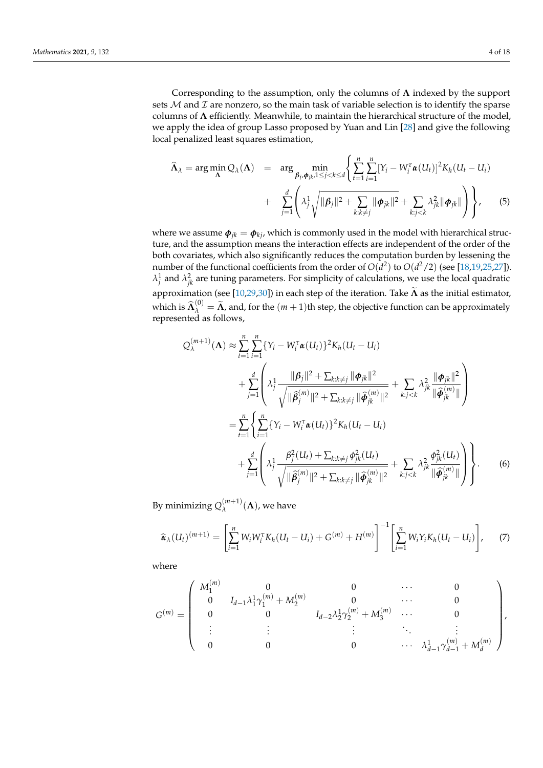Corresponding to the assumption, only the columns of **Λ** indexed by the support sets  $M$  and  $\mathcal I$  are nonzero, so the main task of variable selection is to identify the sparse columns of **Λ** efficiently. Meanwhile, to maintain the hierarchical structure of the model, we apply the idea of group Lasso proposed by Yuan and Lin [\[28\]](#page-17-12) and give the following local penalized least squares estimation,

$$
\widehat{\Lambda}_{\lambda} = \arg \min_{\mathbf{\Lambda}} Q_{\lambda}(\mathbf{\Lambda}) = \arg \min_{\mathbf{\beta}_{j}, \mathbf{\phi}_{jk}, 1 \leq j < k \leq d} \left\{ \sum_{t=1}^{n} \sum_{i=1}^{n} [Y_{i} - W_{i}^{\tau} \boldsymbol{\alpha}(U_{t})]^{2} K_{h}(U_{t} - U_{i}) + \sum_{j=1}^{d} \left( \lambda_{j}^{1} \sqrt{\|\boldsymbol{\beta}_{j}\|^{2} + \sum_{k:k \neq j} \|\boldsymbol{\phi}_{jk}\|^{2}} + \sum_{k:j < k} \lambda_{jk}^{2} \|\boldsymbol{\phi}_{jk}\| \right) \right\}, \quad (5)
$$

where we assume  $\phi_{jk} = \phi_{kj}$ , which is commonly used in the model with hierarchical structure, and the assumption means the interaction effects are independent of the order of the both covariates, which also significantly reduces the computation burden by lessening the number of the functional coefficients from the order of  $O(d^2)$  to  $O(d^2/2)$  (see [\[18,](#page-17-4)[19,](#page-17-5)[25,](#page-17-13)[27\]](#page-17-11)).  $\lambda_j^1$  and  $\lambda_{jk}^2$  are tuning parameters. For simplicity of calculations, we use the local quadratic approximation (see [\[10,](#page-16-6)[29,](#page-17-14)[30\]](#page-17-15)) in each step of the iteration. Take  $\tilde{\Lambda}$  as the initial estimator, which is  $\widehat{\Lambda}^{(0)}_{\lambda} = \widetilde{\Lambda}$ , and, for the  $(m+1)$ th step, the objective function can be approximately represented as follows,

$$
Q_{\lambda}^{(m+1)}(\Lambda) \approx \sum_{t=1}^{n} \sum_{i=1}^{n} \{Y_{i} - W_{i}^{\tau} \alpha(U_{t})\}^{2} K_{h}(U_{t} - U_{i})
$$
  
+ 
$$
\sum_{j=1}^{d} \left(\lambda_{j}^{1} \frac{\|\beta_{j}\|^{2} + \sum_{k:k\neq j} \|\phi_{jk}\|^{2}}{\sqrt{\|\hat{\beta}_{j}^{(m)}\|^{2} + \sum_{k:k\neq j} \|\hat{\phi}_{jk}^{(m)}\|^{2}}} + \sum_{k:j < k} \lambda_{jk}^{2} \frac{\|\phi_{jk}\|^{2}}{\|\hat{\phi}_{jk}^{(m)}\|}\right)
$$
  
= 
$$
\sum_{t=1}^{n} \left\{\sum_{i=1}^{n} \{Y_{i} - W_{i}^{\tau} \alpha(U_{t})\}^{2} K_{h}(U_{t} - U_{i}) + \sum_{j=1}^{d} \left(\lambda_{j}^{1} \frac{\beta_{j}^{2}(U_{t}) + \sum_{k:k\neq j} \phi_{jk}^{2}(U_{t})}{\sqrt{\|\hat{\beta}_{j}^{(m)}\|^{2} + \sum_{k:k\neq j} \|\hat{\phi}_{jk}^{(m)}\|^{2}}} + \sum_{k:j < k} \lambda_{jk}^{2} \frac{\phi_{jk}^{2}(U_{t})}{\|\hat{\phi}_{jk}^{(m)}\|}\right\}.
$$
 (6)

By minimizing  $Q_{\lambda}^{(m+1)}$  $\lambda^{(m+1)}(\Lambda)$ , we have

<span id="page-3-0"></span>
$$
\widehat{\alpha}_{\lambda}(U_t)^{(m+1)} = \left[\sum_{i=1}^n W_i W_i^{\tau} K_h (U_t - U_i) + G^{(m)} + H^{(m)}\right]^{-1} \left[\sum_{i=1}^n W_i Y_i K_h (U_t - U_i)\right],\tag{7}
$$

where

$$
G^{(m)}=\left(\begin{array}{cccccc} M_1^{(m)} & 0 & 0 & \cdots & 0 \\ 0 & I_{d-1}\lambda_1^1\gamma_1^{(m)}+M_2^{(m)} & 0 & \cdots & 0 \\ 0 & 0 & I_{d-2}\lambda_2^1\gamma_2^{(m)}+M_3^{(m)} & \cdots & 0 \\ \vdots & \vdots & \vdots & \ddots & \vdots \\ 0 & 0 & 0 & \cdots & \lambda_{d-1}^1\gamma_{d-1}^{(m)}+M_d^{(m)} \end{array}\right),
$$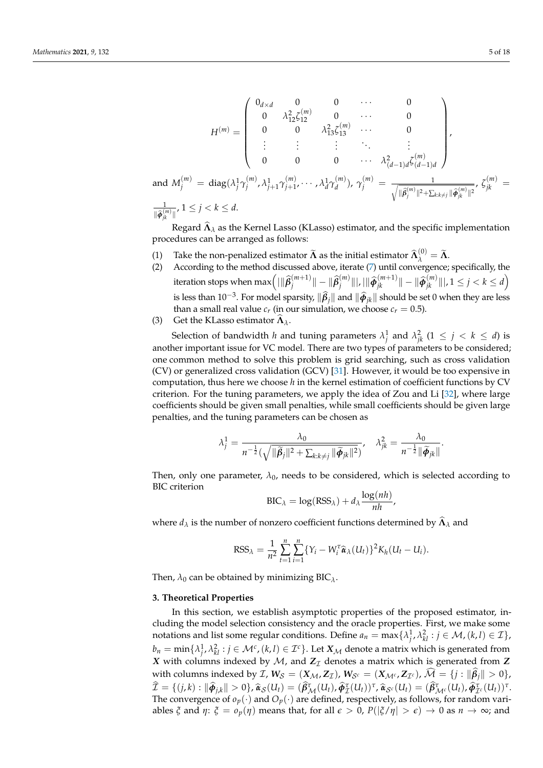$$
H^{(m)} = \begin{pmatrix} 0_{d \times d} & 0 & 0 & \cdots & 0 \\ 0 & \lambda_{12}^2 \zeta_{12}^{(m)} & 0 & \cdots & 0 \\ 0 & 0 & \lambda_{13}^2 \zeta_{13}^{(m)} & \cdots & 0 \\ \vdots & \vdots & \vdots & \ddots & \vdots \\ 0 & 0 & 0 & \cdots & \lambda_{(d-1)d}^2 \zeta_{(d-1)d}^{(m)} \end{pmatrix},
$$
  
and  $M_j^{(m)} = \text{diag}(\lambda_j^1 \gamma_j^{(m)}, \lambda_{j+1}^1 \gamma_{j+1}^{(m)}, \cdots, \lambda_d^1 \gamma_d^{(m)}), \gamma_j^{(m)} = \frac{1}{\sqrt{\|\hat{\beta}_j^{(m)}\|^2 + \sum_{k:k \neq j} \|\hat{\phi}_{jk}^{(m)}\|^2}}, \zeta_{jk}^{(m)} = \frac{1}{\|\hat{\phi}_{jk}^{(m)}\|}, 1 \le j < k \le d.$ 

Regard  $\hat{\Lambda}_{\lambda}$  as the Kernel Lasso (KLasso) estimator, and the specific implementation procedures can be arranged as follows:

- (1) Take the non-penalized estimator  $\widetilde{\Lambda}$  as the initial estimator  $\widehat{\Lambda}^{(0)}_{\lambda} = \widetilde{\Lambda}$ .
- (2) According to the method discussed above, iterate [\(7\)](#page-3-0) until convergence; specifically, the iteration stops when  $\max\left( |\|\widehat{\boldsymbol{\beta}}_{j}^{(m+1)}\>$  $\|\hat{\beta}_j^{(m+1)}\| - \|\widehat{\beta}_j^{(m)}\|$  $\big|\widehat{\boldsymbol{\phi}}_{jk}^{(m)}\|\big|$ ,  $|\|\widehat{\boldsymbol{\phi}}_{jk}^{(m+1)}\| - \|\widehat{\boldsymbol{\phi}}_{jk}^{(m)}\|\big|$ ,  $1 \leq j < k \leq d$ is less than  $10^{-3}$ . For model sparsity,  $\|\hat{\beta}_j\|$  and  $\|\hat{\phi}_{jk}\|$  should be set 0 when they are less than a small real value  $c_r$  (in our simulation, we choose  $c_r = 0.5$ ).
- (3) Get the KLasso estimator  $\Lambda_{\lambda}$ .

and *M*

Selection of bandwidth *h* and tuning parameters  $\lambda_j^1$  and  $\lambda_{jk}^2$  (1  $\leq j \, < \, k \, \leq \, d$ ) is another important issue for VC model. There are two types of parameters to be considered; one common method to solve this problem is grid searching, such as cross validation (CV) or generalized cross validation (GCV) [\[31\]](#page-17-16). However, it would be too expensive in computation, thus here we choose *h* in the kernel estimation of coefficient functions by CV criterion. For the tuning parameters, we apply the idea of Zou and Li [\[32\]](#page-17-17), where large coefficients should be given small penalties, while small coefficients should be given large penalties, and the tuning parameters can be chosen as

$$
\lambda_j^1 = \frac{\lambda_0}{n^{-\frac{1}{2}}(\sqrt{\|\widetilde{\boldsymbol{\beta}}_j\|^2 + \sum_{k:k\neq j} \|\widetilde{\boldsymbol{\phi}}_{jk}\|^2})}, \quad \lambda_{jk}^2 = \frac{\lambda_0}{n^{-\frac{1}{2}}\|\widetilde{\boldsymbol{\phi}}_{jk}\|}.
$$

Then, only one parameter,  $\lambda_0$ , needs to be considered, which is selected according to BIC criterion

$$
BIC_{\lambda} = \log(RSS_{\lambda}) + d_{\lambda} \frac{\log(nh)}{nh},
$$

where  $d_{\lambda}$  is the number of nonzero coefficient functions determined by  $\widehat{\mathbf{\Lambda}}_{\lambda}$  and

$$
RSS_{\lambda} = \frac{1}{n^2} \sum_{t=1}^{n} \sum_{i=1}^{n} \{Y_i - W_i^{\tau} \hat{\alpha}_{\lambda}(U_t)\}^2 K_h (U_t - U_i).
$$

Then,  $\lambda_0$  can be obtained by minimizing BIC<sub> $\lambda$ </sub>.

#### <span id="page-4-0"></span>**3. Theoretical Properties**

In this section, we establish asymptotic properties of the proposed estimator, including the model selection consistency and the oracle properties. First, we make some notations and list some regular conditions. Define  $a_n = \max\{\lambda_j^1, \lambda_{kl}^2 : j \in \mathcal{M}, (k,l) \in \mathcal{I}\},$  $b_n = \min\{\lambda_j^1,\lambda_{kl}^2 : j\in\mathcal{M}^c$ ,  $(k,l)\in\mathcal{I}^c\}$ . Let  $X_\mathcal{M}$  denote a matrix which is generated from *X* with columns indexed by  $M$ , and  $Z_I$  denotes a matrix which is generated from  $Z$ with columns indexed by  $\mathcal{I}$ ,  $W_{\mathcal{S}} = (\mathbf{X}_{\mathcal{M}} , \mathbf{Z}_{\mathcal{I}})$ ,  $W_{\mathcal{S}^c} = (\mathbf{X}_{\mathcal{M}^c} , \mathbf{Z}_{\mathcal{I}^c})$ ,  $\mathcal{M} = \{j : \|\boldsymbol{\beta}_j\| > 0\}$ ,  $\widehat{\mathcal{I}} = \{ (j,k) : ||\widehat{\boldsymbol{\phi}}_{j,k}|| > 0 \}, \widehat{\boldsymbol{\alpha}}_{\mathcal{S}}(U_t) = (\widehat{\boldsymbol{\beta}}_{\mathcal{M}}^{\tau}(U_t), \widehat{\boldsymbol{\phi}}_{\mathcal{I}}^{\tau}(U_t))^{\tau}, \widehat{\boldsymbol{\alpha}}_{\mathcal{S}^c}(U_t) = (\widehat{\boldsymbol{\beta}}_{\mathcal{M}^c}^{\tau}(U_t), \widehat{\boldsymbol{\phi}}_{\mathcal{I}^c}^{\tau}(U_t))^{\tau}.$ The convergence of  $o_p(\cdot)$  and  $O_p(\cdot)$  are defined, respectively, as follows, for random variables *ξ* and *η*: *ξ* =  $o_p(\eta)$  means that, for all  $\epsilon > 0$ ,  $P(|\xi/\eta| > \epsilon) \to 0$  as  $n \to \infty$ ; and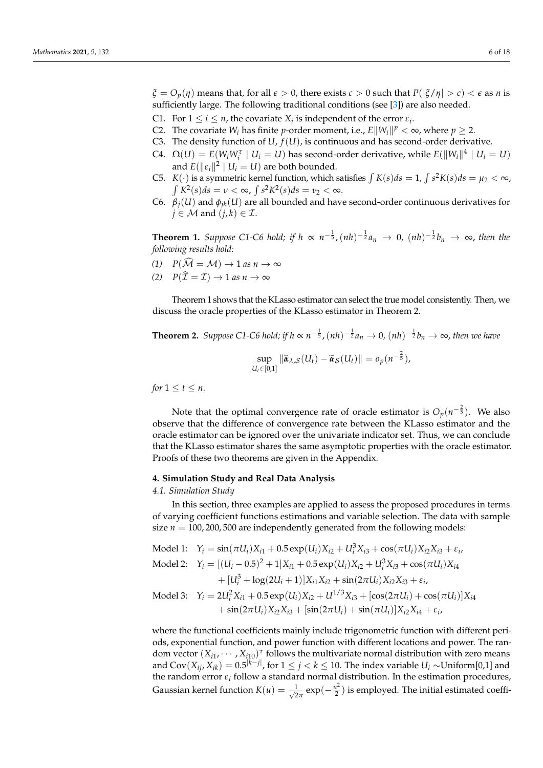- $\zeta = O_p(\eta)$  means that, for all  $\epsilon > 0$ , there exists  $c > 0$  such that  $P(|\zeta/\eta| > c) < \epsilon$  as *n* is sufficiently large. The following traditional conditions (see [\[3\]](#page-16-10)) are also needed.
- C1. For  $1 \le i \le n$ , the covariate  $X_i$  is independent of the error  $\varepsilon_i$ .
- C2. The covariate  $W_i$  has finite *p*-order moment, i.e.,  $E||W_i||^p < \infty$ , where  $p \geq 2$ .
- C3. The density function of  $U$ ,  $f(U)$ , is continuous and has second-order derivative.
- C4.  $\Omega(U) = E(W_i W_i^{\tau} \mid U_i = U)$  has second-order derivative, while  $E(||W_i||^4 \mid U_i = U)$ and  $E(\|\varepsilon_i\|^2 \mid U_i = U)$  are both bounded.
- C5. *K*(*·*) is a symmetric kernel function, which satisfies  $\int K(s)ds = 1$ ,  $\int s^2K(s)ds = \mu_2 < \infty$ ,  $\int K^2(s)ds = v < \infty$ ,  $\int s^2 K^2(s)ds = v_2 < \infty$ .
- C6.  $\beta_j(U)$  and  $\phi_{jk}(U)$  are all bounded and have second-order continuous derivatives for  $j \in \mathcal{M}$  and  $(j, k) \in \mathcal{I}$ .

<span id="page-5-1"></span>**Theorem 1.** Suppose C1-C6 hold; if  $h \propto n^{-\frac{1}{5}}$ ,  $(nh)^{-\frac{1}{2}}a_n \to 0$ ,  $(nh)^{-\frac{1}{2}}b_n \to \infty$ , then the *following results hold:*

- $(1)$   $P(\widehat{\mathcal{M}} = \mathcal{M}) \rightarrow 1$  *as*  $n \rightarrow \infty$
- $(2)$   $P(\hat{\mathcal{I}} = \mathcal{I}) \rightarrow 1$  *as*  $n \rightarrow \infty$

Theorem 1 shows that the KLasso estimator can select the true model consistently. Then, we discuss the oracle properties of the KLasso estimator in Theorem 2.

**Theorem 2.** Suppose C1-C6 hold; if 
$$
h \propto n^{-\frac{1}{5}}
$$
,  $(nh)^{-\frac{1}{2}}a_n \to 0$ ,  $(nh)^{-\frac{1}{2}}b_n \to \infty$ , then we have  
\n
$$
\sup_{U_t \in [0,1]} \|\hat{\alpha}_{\lambda, \mathcal{S}}(U_t) - \tilde{\alpha}_{\mathcal{S}}(U_t)\| = o_p(n^{-\frac{2}{5}}),
$$

*for*  $1 \leq t \leq n$ *.* 

Note that the optimal convergence rate of oracle estimator is  $O_p(n^{-\frac{2}{5}})$ . We also observe that the difference of convergence rate between the KLasso estimator and the oracle estimator can be ignored over the univariate indicator set. Thus, we can conclude that the KLasso estimator shares the same asymptotic properties with the oracle estimator. Proofs of these two theorems are given in the Appendix.

## <span id="page-5-0"></span>**4. Simulation Study and Real Data Analysis**

*4.1. Simulation Study*

In this section, three examples are applied to assess the proposed procedures in terms of varying coefficient functions estimations and variable selection. The data with sample size  $n = 100, 200, 500$  are independently generated from the following models:

Model 1:  $Y_i = \sin(\pi U_i) X_{i1} + 0.5 \exp(U_i) X_{i2} + U_i^3 X_{i3} + \cos(\pi U_i) X_{i2} X_{i3} + \varepsilon_i$  $\text{Model 2:} \quad Y_i = [(U_i - 0.5)^2 + 1]X_{i1} + 0.5 \exp(U_i)X_{i2} + U_i^3 X_{i3} + \cos(\pi U_i)X_{i4}$  $+ [U_i^3 + \log(2U_i + 1)]X_{i1}X_{i2} + \sin(2\pi U_i)X_{i2}X_{i3} + \varepsilon_i$ Model 3:  $Y_i = 2U_i^2 X_{i1} + 0.5 \exp(U_i) X_{i2} + U^{1/3} X_{i3} + [\cos(2\pi U_i) + \cos(\pi U_i)] X_{i4}$  $+ \sin(2\pi U_i)X_{i2}X_{i3} + [\sin(2\pi U_i) + \sin(\pi U_i)]X_{i2}X_{i4} + \varepsilon_i$ 

where the functional coefficients mainly include trigonometric function with different periods, exponential function, and power function with different locations and power. The random vector  $(X_{i1}, \dots, X_{i10})^T$  follows the multivariate normal distribution with zero means and  $Cov(X_{ij}, X_{ik}) = 0.5^{|k-j|}$ , for  $1 \leq j < k \leq 10$ . The index variable  $U_i \sim$ Uniform[0,1] and the random error *ε<sup>i</sup>* follow a standard normal distribution. In the estimation procedures, Gaussian kernel function  $K(u) = \frac{1}{\sqrt{2}}$  $rac{1}{2\pi}$ exp( $-\frac{u^2}{2}$  $\frac{u^2}{2}$ ) is employed. The initial estimated coeffi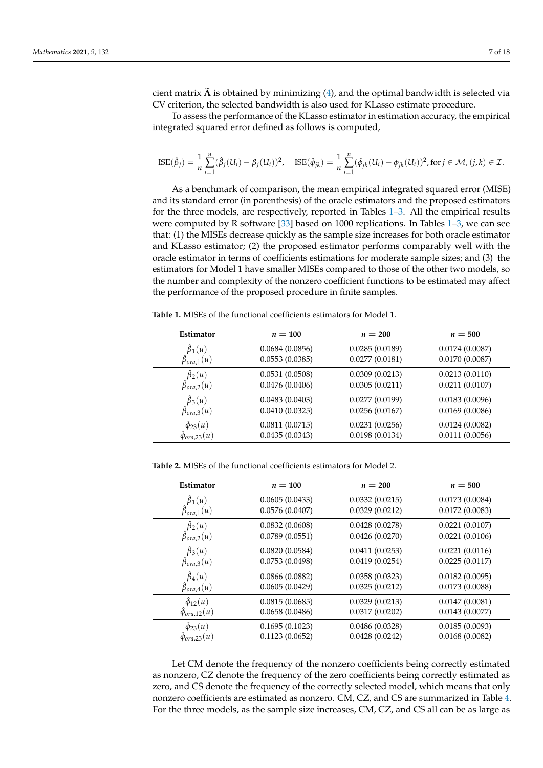cient matrix Λ is obtained by minimizing [\(4\)](#page-2-2), and the optimal bandwidth is selected via CV criterion, the selected bandwidth is also used for KLasso estimate procedure.

To assess the performance of the KLasso estimator in estimation accuracy, the empirical integrated squared error defined as follows is computed,

$$
\text{ISE}(\hat{\beta}_j) = \frac{1}{n} \sum_{i=1}^n (\hat{\beta}_j(U_i) - \beta_j(U_i))^2, \quad \text{ISE}(\hat{\phi}_{jk}) = \frac{1}{n} \sum_{i=1}^n (\hat{\phi}_{jk}(U_i) - \phi_{jk}(U_i))^2, \text{for } j \in \mathcal{M}, (j,k) \in \mathcal{I}.
$$

As a benchmark of comparison, the mean empirical integrated squared error (MISE) and its standard error (in parenthesis) of the oracle estimators and the proposed estimators for the three models, are respectively, reported in Tables [1–](#page-6-0)[3.](#page-7-0) All the empirical results were computed by R software [\[33\]](#page-17-18) based on 1000 replications. In Tables [1–](#page-6-0)[3,](#page-7-0) we can see that: (1) the MISEs decrease quickly as the sample size increases for both oracle estimator and KLasso estimator; (2) the proposed estimator performs comparably well with the oracle estimator in terms of coefficients estimations for moderate sample sizes; and (3) the estimators for Model 1 have smaller MISEs compared to those of the other two models, so the number and complexity of the nonzero coefficient functions to be estimated may affect the performance of the proposed procedure in finite samples.

| $\hat{\beta}_1(u)$<br>0.0684(0.0856)<br>0.0285(0.0189)<br>0.0174(0.0087)                                                                                     |  |
|--------------------------------------------------------------------------------------------------------------------------------------------------------------|--|
| $\hat{\beta}_{ora,1}(u)$<br>0.0553(0.0385)<br>0.0277(0.0181)<br>0.0170(0.0087)                                                                               |  |
| $\hat{\beta}_2(u)$<br>0.0531(0.0508)<br>0.0213(0.0110)<br>0.0309(0.0213)<br>$\hat{\beta}_{ora,2}(u)$<br>0.0476(0.0406)<br>0.0305(0.0211)<br>0.0211(0.0107)   |  |
| $\hat{\beta}_3(u)$<br>0.0483(0.0403)<br>0.0183(0.0096)<br>0.0277(0.0199)<br>$\hat{\beta}_{ora,3}(u)$<br>0.0410(0.0325)<br>0.0169(0.0086)<br>0.0256(0.0167)   |  |
| $\hat{\phi}_{23}(u)$<br>0.0811(0.0715)<br>0.0231(0.0256)<br>0.0124(0.0082)<br>0.0111(0.0056)<br>0.0435(0.0343)<br>0.0198(0.0134)<br>$\hat{\phi}_{ora,23}(u)$ |  |

<span id="page-6-0"></span>**Table 1.** MISEs of the functional coefficients estimators for Model 1.

**Table 2.** MISEs of the functional coefficients estimators for Model 2.

| Estimator                | $n=100$        | $n=200$        | $n=500$        |
|--------------------------|----------------|----------------|----------------|
| $\hat{\beta}_1(u)$       | 0.0605(0.0433) | 0.0332(0.0215) | 0.0173(0.0084) |
| $\hat{\beta}_{ora,1}(u)$ | 0.0576(0.0407) | 0.0329(0.0212) | 0.0172(0.0083) |
| $\hat{\beta}_2(u)$       | 0.0832(0.0608) | 0.0428(0.0278) | 0.0221(0.0107) |
| $\hat{\beta}_{ora,2}(u)$ | 0.0789(0.0551) | 0.0426(0.0270) | 0.0221(0.0106) |
| $\hat{\beta}_3(u)$       | 0.0820(0.0584) | 0.0411(0.0253) | 0.0221(0.0116) |
| $\hat{\beta}_{ora,3}(u)$ | 0.0753(0.0498) | 0.0419(0.0254) | 0.0225(0.0117) |
| $\hat{\beta}_4(u)$       | 0.0866(0.0882) | 0.0358(0.0323) | 0.0182(0.0095) |
| $\hat{\beta}_{ora,4}(u)$ | 0.0605(0.0429) | 0.0325(0.0212) | 0.0173(0.0088) |
| $\hat{\phi}_{12}(u)$     | 0.0815(0.0685) | 0.0329(0.0213) | 0.0147(0.0081) |
| $\hat{\phi}_{ora,12}(u)$ | 0.0658(0.0486) | 0.0317(0.0202) | 0.0143(0.0077) |
| $\hat{\phi}_{23}(u)$     | 0.1695(0.1023) | 0.0486(0.0328) | 0.0185(0.0093) |
| $\hat{\phi}_{ora,23}(u)$ | 0.1123(0.0652) | 0.0428(0.0242) | 0.0168(0.0082) |

Let CM denote the frequency of the nonzero coefficients being correctly estimated as nonzero, CZ denote the frequency of the zero coefficients being correctly estimated as zero, and CS denote the frequency of the correctly selected model, which means that only nonzero coefficients are estimated as nonzero. CM, CZ, and CS are summarized in Table [4.](#page-9-0) For the three models, as the sample size increases, CM, CZ, and CS all can be as large as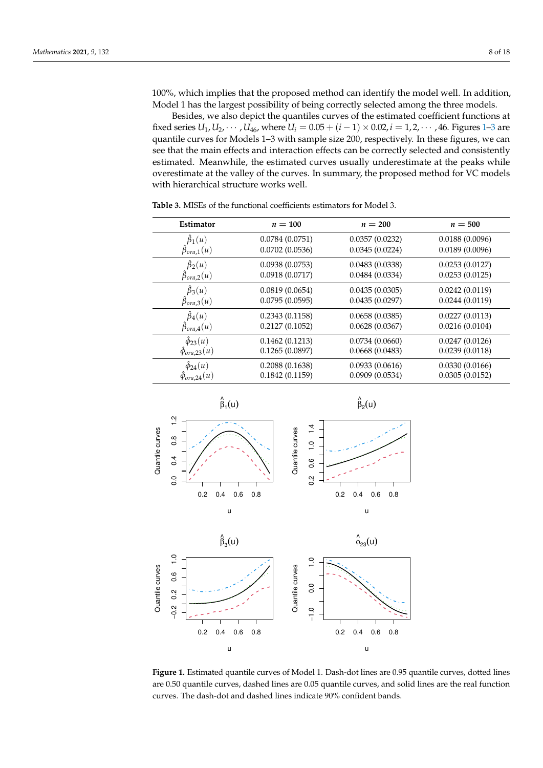100%, which implies that the proposed method can identify the model well. In addition, Model 1 has the largest possibility of being correctly selected among the three models.

Besides, we also depict the quantiles curves of the estimated coefficient functions at fixed series  $U_1, U_2, \dots, U_{46}$  $U_1, U_2, \dots, U_{46}$  $U_1, U_2, \dots, U_{46}$ , where  $U_i = 0.05 + (i - 1) \times 0.02$ ,  $i = 1, 2, \dots, 46$ . Figures 1[–3](#page-8-0) are quantile curves for Models 1–3 with sample size 200, respectively. In these figures, we can see that the main effects and interaction effects can be correctly selected and consistently estimated. Meanwhile, the estimated curves usually underestimate at the peaks while overestimate at the valley of the curves. In summary, the proposed method for VC models with hierarchical structure works well.

| Estimator                | $n=100$        | $n=200$        | $n=500$        |
|--------------------------|----------------|----------------|----------------|
| $\hat{\beta}_1(u)$       | 0.0784(0.0751) | 0.0357(0.0232) | 0.0188(0.0096) |
| $\hat{\beta}_{ora,1}(u)$ | 0.0702(0.0536) | 0.0345(0.0224) | 0.0189(0.0096) |
| $\hat{\beta}_2(u)$       | 0.0938(0.0753) | 0.0483(0.0338) | 0.0253(0.0127) |
| $\hat{\beta}_{ora,2}(u)$ | 0.0918(0.0717) | 0.0484(0.0334) | 0.0253(0.0125) |
| $\hat{\beta}_3(u)$       | 0.0819(0.0654) | 0.0435(0.0305) | 0.0242(0.0119) |
| $\hat{\beta}_{ora,3}(u)$ | 0.0795(0.0595) | 0.0435(0.0297) | 0.0244(0.0119) |
| $\hat{\beta}_4(u)$       | 0.2343(0.1158) | 0.0658(0.0385) | 0.0227(0.0113) |
| $\hat{\beta}_{ora,4}(u)$ | 0.2127(0.1052) | 0.0628(0.0367) | 0.0216(0.0104) |
| $\hat{\phi}_{23}(u)$     | 0.1462(0.1213) | 0.0734(0.0660) | 0.0247(0.0126) |
| $\hat{\phi}_{ora,23}(u)$ | 0.1265(0.0897) | 0.0668(0.0483) | 0.0239(0.0118) |
| $\hat{\phi}_{24}(u)$     | 0.2088(0.1638) | 0.0933(0.0616) | 0.0330(0.0166) |
| $\phi_{ora,24}(u)$       | 0.1842(0.1159) | 0.0909(0.0534) | 0.0305(0.0152) |

<span id="page-7-0"></span>**Table 3.** MISEs of the functional coefficients estimators for Model 3.

<span id="page-7-1"></span>

u

**Figure 1.** Estimated quantile curves of Model 1. Dash-dot lines are 0.95 quantile curves, dotted lines are 0.50 quantile curves, dashed lines are 0.05 quantile curves, and solid lines are the real function curves. The dash-dot and dashed lines indicate 90% confident bands.

u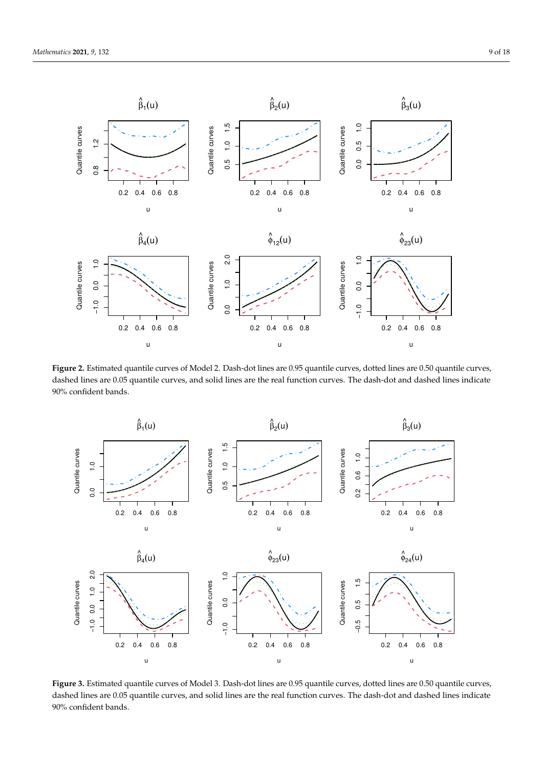

**Figure 2.** Estimated quantile curves of Model 2. Dash-dot lines are 0.95 quantile curves, dotted lines are 0.50 quantile curves, dashed lines are 0.05 quantile curves, and solid lines are the real function curves. The dash-dot and dashed lines indicate 90% confident bands.

<span id="page-8-0"></span>

**Figure 3.** Estimated quantile curves of Model 3. Dash-dot lines are 0.95 quantile curves, dotted lines are 0.50 quantile curves, dashed lines are 0.05 quantile curves, and solid lines are the real function curves. The dash-dot and dashed lines indicate 90% confident bands.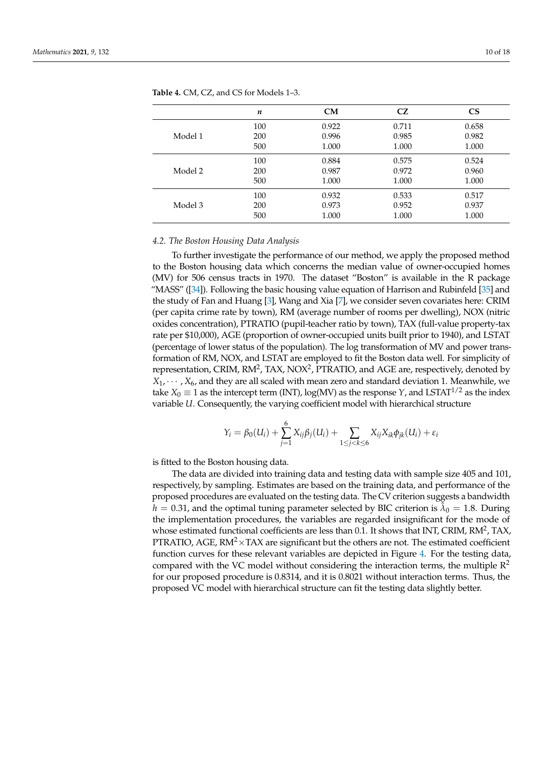|         | $\boldsymbol{n}$ | CM    | CZ.   | <b>CS</b> |
|---------|------------------|-------|-------|-----------|
| Model 1 | 100              | 0.922 | 0.711 | 0.658     |
|         | 200              | 0.996 | 0.985 | 0.982     |
|         | 500              | 1.000 | 1.000 | 1.000     |
| Model 2 | 100              | 0.884 | 0.575 | 0.524     |
|         | 200              | 0.987 | 0.972 | 0.960     |
|         | 500              | 1.000 | 1.000 | 1.000     |
| Model 3 | 100              | 0.932 | 0.533 | 0.517     |
|         | 200              | 0.973 | 0.952 | 0.937     |
|         | 500              | 1.000 | 1.000 | 1.000     |

<span id="page-9-0"></span>**Table 4.** CM, CZ, and CS for Models 1–3.

#### *4.2. The Boston Housing Data Analysis*

To further investigate the performance of our method, we apply the proposed method to the Boston housing data which concerns the median value of owner-occupied homes (MV) for 506 census tracts in 1970. The dataset "Boston" is available in the R package "MASS" ([\[34\]](#page-17-19)). Following the basic housing value equation of Harrison and Rubinfeld [\[35\]](#page-17-20) and the study of Fan and Huang [\[3\]](#page-16-10), Wang and Xia [\[7\]](#page-16-3), we consider seven covariates here: CRIM (per capita crime rate by town), RM (average number of rooms per dwelling), NOX (nitric oxides concentration), PTRATIO (pupil-teacher ratio by town), TAX (full-value property-tax rate per \$10,000), AGE (proportion of owner-occupied units built prior to 1940), and LSTAT (percentage of lower status of the population). The log transformation of MV and power transformation of RM, NOX, and LSTAT are employed to fit the Boston data well. For simplicity of representation, CRIM,  $RM^2$ , TAX, NOX<sup>2</sup>, PTRATIO, and AGE are, respectively, denoted by  $X_1, \dots, X_6$  and they are all scaled with mean zero and standard deviation 1. Meanwhile, we take  $X_0 \equiv 1$  as the intercept term (INT),  $\log(MV)$  as the response *Y*, and LSTAT<sup>1/2</sup> as the index variable *U*. Consequently, the varying coefficient model with hierarchical structure

$$
Y_i = \beta_0(U_i) + \sum_{j=1}^6 X_{ij}\beta_j(U_i) + \sum_{1 \le j < k \le 6} X_{ij}X_{ik}\phi_{jk}(U_i) + \varepsilon_i
$$

is fitted to the Boston housing data.

The data are divided into training data and testing data with sample size 405 and 101, respectively, by sampling. Estimates are based on the training data, and performance of the proposed procedures are evaluated on the testing data. The CV criterion suggests a bandwidth  $h=0.31$ , and the optimal tuning parameter selected by BIC criterion is  $\hat{\lambda}_0=1.8$ . During the implementation procedures, the variables are regarded insignificant for the mode of whose estimated functional coefficients are less than 0.1. It shows that INT, CRIM, RM<sup>2</sup>, TAX, PTRATIO, AGE,  $RM^2 \times TAX$  are significant but the others are not. The estimated coefficient function curves for these relevant variables are depicted in Figure [4.](#page-10-2) For the testing data, compared with the VC model without considering the interaction terms, the multiple  $\mathbb{R}^2$ for our proposed procedure is 0.8314, and it is 0.8021 without interaction terms. Thus, the proposed VC model with hierarchical structure can fit the testing data slightly better.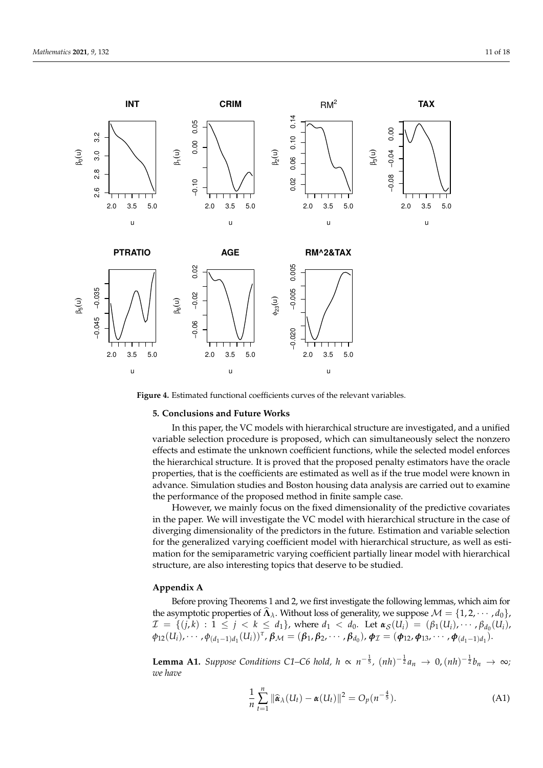<span id="page-10-2"></span>

**Figure 4.** Estimated functional coefficients curves of the relevant variables.

# <span id="page-10-0"></span>**5. Conclusions and Future Works**

In this paper, the VC models with hierarchical structure are investigated, and a unified variable selection procedure is proposed, which can simultaneously select the nonzero effects and estimate the unknown coefficient functions, while the selected model enforces the hierarchical structure. It is proved that the proposed penalty estimators have the oracle properties, that is the coefficients are estimated as well as if the true model were known in advance. Simulation studies and Boston housing data analysis are carried out to examine the performance of the proposed method in finite sample case.

However, we mainly focus on the fixed dimensionality of the predictive covariates in the paper. We will investigate the VC model with hierarchical structure in the case of diverging dimensionality of the predictors in the future. Estimation and variable selection for the generalized varying coefficient model with hierarchical structure, as well as estimation for the semiparametric varying coefficient partially linear model with hierarchical structure, are also interesting topics that deserve to be studied.

## <span id="page-10-1"></span>**Appendix A**

Before proving Theorems 1 and 2, we first investigate the following lemmas, which aim for the asymptotic properties of  $\widehat{A}_{\lambda}$ . Without loss of generality, we suppose  $\mathcal{M} = \{1, 2, \cdots, d_0\}$ ,  $\mathcal{I} = \{ (j,k) : 1 \leq j < k \leq d_1 \}$ , where  $d_1 < d_0$ . Let  $\alpha_{\mathcal{S}}(U_i) = (\beta_1(U_i), \cdots, \beta_{d_0}(U_i))$  $\phi_{12}(U_i), \cdots, \phi_{(d_1-1)d_1}(U_i))^{\tau}, \beta_{\mathcal{M}} = (\beta_1, \beta_2, \cdots, \beta_{d_0}), \phi_{\mathcal{I}} = (\phi_{12}, \phi_{13}, \cdots, \phi_{(d_1-1)d_1}).$ 

**Lemma A1.** Suppose Conditions C1–C6 hold,  $h \propto n^{-\frac{1}{5}}$ ,  $(nh)^{-\frac{1}{2}}a_n \to 0$ ,  $(nh)^{-\frac{1}{2}}b_n \to \infty$ ; *we have*

$$
\frac{1}{n}\sum_{t=1}^{n} \|\widehat{\boldsymbol{\alpha}}_{\lambda}(U_t) - \boldsymbol{\alpha}(U_t)\|^2 = O_p(n^{-\frac{4}{5}}).
$$
 (A1)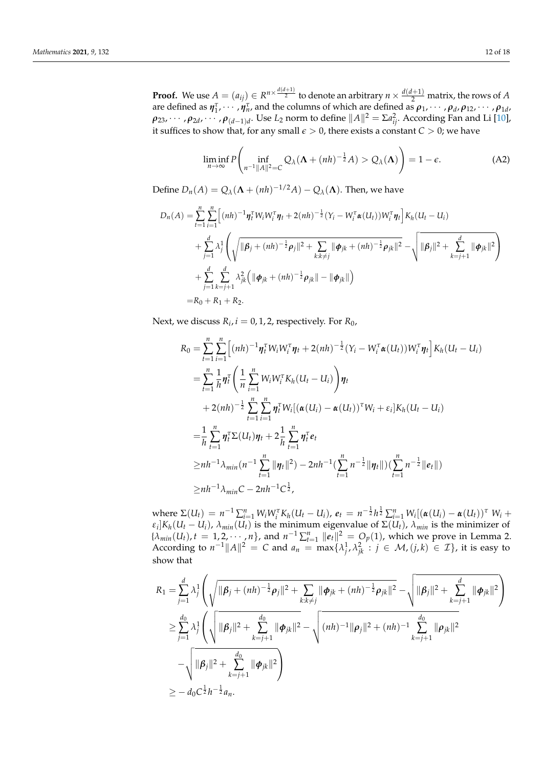**Proof.** We use  $A = (a_{ij}) \in R^{n \times \frac{d(d+1)}{2}}$  to denote an arbitrary  $n \times \frac{d(d+1)}{2}$  matrix, the rows of *A* are defined as  $\eta_1^{\tau}, \dots, \eta_n^{\tau}$  and the columns of which are defined as  $\rho_1, \dots, \rho_d, \rho_{12}, \dots, \rho_{1d}$  $\rho_{23}, \cdots, \rho_{2d}, \cdots, \rho_{(d-1)d}.$  Use  $L_2$  norm to define  $\|A\|^2=\Sigma a_{ij}^2.$  According Fan and Li [\[10\]](#page-16-6), it suffices to show that, for any small  $\epsilon > 0$ , there exists a constant  $C > 0$ ; we have

$$
\liminf_{n \to \infty} P\left(\inf_{n^{-1} \|A\|^2 = C} Q_\lambda(\Lambda + (nh)^{-\frac{1}{2}} A) > Q_\lambda(\Lambda)\right) = 1 - \epsilon.
$$
 (A2)

Define  $D_n(A) = Q_\lambda(\mathbf{\Lambda} + (nh)^{-1/2}A) - Q_\lambda(\mathbf{\Lambda})$ . Then, we have

$$
D_n(A) = \sum_{t=1}^n \sum_{i=1}^n \left[ (nh)^{-1} \eta_t^T W_i W_i^T \eta_t + 2(nh)^{-\frac{1}{2}} (Y_i - W_i^T \alpha(U_t)) W_i^T \eta_t \right] K_h(U_t - U_i)
$$
  
+ 
$$
\sum_{j=1}^d \lambda_j^1 \left( \sqrt{\|\boldsymbol{\beta}_j + (nh)^{-\frac{1}{2}} \boldsymbol{\rho}_j\|^2 + \sum_{k:k \neq j} \|\boldsymbol{\phi}_{jk} + (nh)^{-\frac{1}{2}} \boldsymbol{\rho}_{jk}\|^2} - \sqrt{\|\boldsymbol{\beta}_j\|^2 + \sum_{k=j+1}^d \|\boldsymbol{\phi}_{jk}\|^2} \right)
$$
  
+ 
$$
\sum_{j=1}^d \sum_{k=j+1}^d \lambda_{jk}^2 \left( \|\boldsymbol{\phi}_{jk} + (nh)^{-\frac{1}{2}} \boldsymbol{\rho}_{jk}\| - \|\boldsymbol{\phi}_{jk}\| \right)
$$
  
=  $R_0 + R_1 + R_2$ .

Next, we discuss  $R_i$ ,  $i = 0, 1, 2$ , respectively. For  $R_0$ ,

$$
R_{0} = \sum_{t=1}^{n} \sum_{i=1}^{n} \Big[ (nh)^{-1} \eta_{t}^{\tau} W_{i} W_{i}^{\tau} \eta_{t} + 2 (nh)^{-\frac{1}{2}} (Y_{i} - W_{i}^{\tau} \alpha (U_{t})) W_{i}^{\tau} \eta_{t} \Big] K_{h} (U_{t} - U_{i})
$$
  
\n
$$
= \sum_{t=1}^{n} \frac{1}{h} \eta_{t}^{\tau} \Bigg( \frac{1}{n} \sum_{i=1}^{n} W_{i} W_{i}^{\tau} K_{h} (U_{t} - U_{i}) \Bigg) \eta_{t}
$$
  
\n
$$
+ 2 (nh)^{-\frac{1}{2}} \sum_{t=1}^{n} \sum_{i=1}^{n} \eta_{t}^{\tau} W_{i} [(\alpha (U_{i}) - \alpha (U_{t}))^{\tau} W_{i} + \varepsilon_{i}] K_{h} (U_{t} - U_{i})
$$
  
\n
$$
= \frac{1}{h} \sum_{t=1}^{n} \eta_{t}^{\tau} \Sigma (U_{t}) \eta_{t} + 2 \frac{1}{h} \sum_{t=1}^{n} \eta_{t}^{\tau} e_{t}
$$
  
\n
$$
\ge nh^{-1} \lambda_{min} (n^{-1} \sum_{t=1}^{n} ||\eta_{t}||^{2}) - 2 nh^{-1} (\sum_{t=1}^{n} n^{-\frac{1}{2}} ||\eta_{t}||) (\sum_{t=1}^{n} n^{-\frac{1}{2}} ||e_{t}||)
$$
  
\n
$$
\ge nh^{-1} \lambda_{min} C - 2 nh^{-1} C_{2}^{\frac{1}{2}},
$$

where  $\Sigma(U_t) = n^{-1} \sum_{i=1}^n W_i W_i^{\tau} K_h (U_t - U_i)$ ,  $e_t = n^{-\frac{1}{2}} h^{\frac{1}{2}} \sum_{i=1}^n W_i [(\alpha(U_i) - \alpha(U_t))^{\tau} W_i +$ *ε*<sub>*i*</sub></sub> $K_h(U_t - U_i)$ , *λmin*(*Ut*) is the minimum eigenvalue of Σ(*Ut*), *λ<sub><i>min*</sub> is the minimizer of  ${\lambda_{min}(U_t), t = 1, 2, \cdots, n}$ , and  $n^{-1} \sum_{t=1}^n ||e_t||^2 = O_p(1)$ , which we prove in Lemma 2. According to  $n^{-1}||A||^2 = C$  and  $a_n = \max\{\lambda_j^1, \lambda_{jk}^2 : j \in \mathcal{M}, (j,k) \in \mathcal{I}\}\)$ , it is easy to show that

$$
R_{1} = \sum_{j=1}^{d} \lambda_{j}^{1} \left( \sqrt{\|\boldsymbol{\beta}_{j} + (nh)^{-\frac{1}{2}} \boldsymbol{\rho}_{j}\|^{2} + \sum_{k:k\neq j} \|\boldsymbol{\phi}_{jk} + (nh)^{-\frac{1}{2}} \boldsymbol{\rho}_{jk}\|^{2}} - \sqrt{\|\boldsymbol{\beta}_{j}\|^{2} + \sum_{k=j+1}^{d} \|\boldsymbol{\phi}_{jk}\|^{2}} \right)
$$
  
\n
$$
\geq \sum_{j=1}^{d_{0}} \lambda_{j}^{1} \left( \sqrt{\|\boldsymbol{\beta}_{j}\|^{2} + \sum_{k=j+1}^{d_{0}} \|\boldsymbol{\phi}_{jk}\|^{2}} - \sqrt{(nh)^{-1} \|\boldsymbol{\rho}_{j}\|^{2} + (nh)^{-1} \sum_{k=j+1}^{d_{0}} \|\boldsymbol{\rho}_{jk}\|^{2}} \right)
$$
  
\n
$$
- \sqrt{\|\boldsymbol{\beta}_{j}\|^{2} + \sum_{k=j+1}^{d_{0}} \|\boldsymbol{\phi}_{jk}\|^{2}} \right)
$$
  
\n
$$
\geq -d_{0}C^{\frac{1}{2}}h^{-\frac{1}{2}}a_{n}.
$$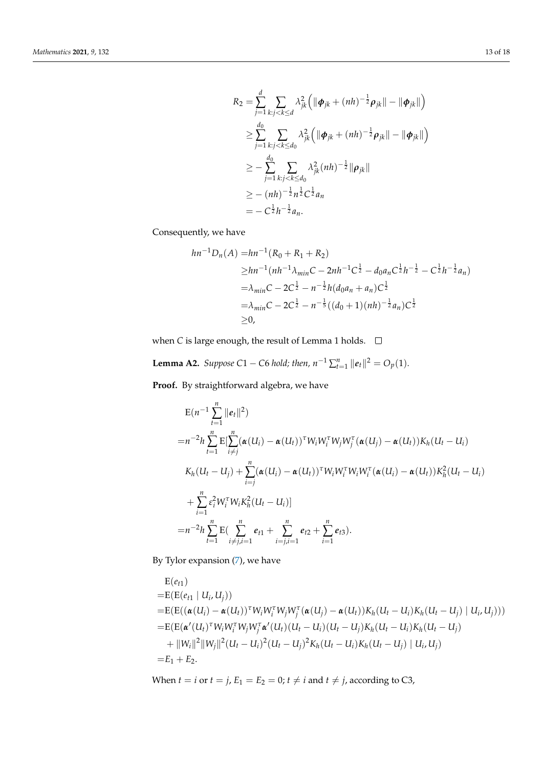$$
R_2 = \sum_{j=1}^d \sum_{k:j < k \le d} \lambda_{jk}^2 \left( \|\boldsymbol{\phi}_{jk} + (nh)^{-\frac{1}{2}} \boldsymbol{\rho}_{jk} \| - \|\boldsymbol{\phi}_{jk} \| \right)
$$
  
\n
$$
\ge \sum_{j=1}^{d_0} \sum_{k:j < k \le d_0} \lambda_{jk}^2 \left( \|\boldsymbol{\phi}_{jk} + (nh)^{-\frac{1}{2}} \boldsymbol{\rho}_{jk} \| - \|\boldsymbol{\phi}_{jk} \| \right)
$$
  
\n
$$
\ge - \sum_{j=1}^d \sum_{k:j < k \le d_0} \lambda_{jk}^2 (nh)^{-\frac{1}{2}} \|\boldsymbol{\rho}_{jk} \|
$$
  
\n
$$
\ge - (nh)^{-\frac{1}{2}} n^{\frac{1}{2}} C^{\frac{1}{2}} a_n
$$
  
\n
$$
= - C^{\frac{1}{2}} h^{-\frac{1}{2}} a_n.
$$

Consequently, we have

$$
hn^{-1}D_n(A) = hn^{-1}(R_0 + R_1 + R_2)
$$
  
\n
$$
\geq hn^{-1}(nh^{-1}\lambda_{min}C - 2nh^{-1}C^{\frac{1}{2}} - d_0a_nC^{\frac{1}{2}}h^{-\frac{1}{2}} - C^{\frac{1}{2}}h^{-\frac{1}{2}}a_n)
$$
  
\n
$$
= \lambda_{min}C - 2C^{\frac{1}{2}} - n^{-\frac{1}{2}}h(d_0a_n + a_n)C^{\frac{1}{2}}
$$
  
\n
$$
= \lambda_{min}C - 2C^{\frac{1}{2}} - n^{-\frac{1}{5}}((d_0 + 1)(nh)^{-\frac{1}{2}}a_n)C^{\frac{1}{2}}
$$
  
\n
$$
\geq 0,
$$

when *C* is large enough, the result of Lemma 1 holds.  $\Box$ 

**Lemma A2.** *Suppose*  $C1 - C6$  *hold; then,*  $n^{-1} \sum_{t=1}^{n} ||e_t||^2 = O_p(1)$ *.* 

**Proof.** By straightforward algebra, we have

$$
E(n^{-1}\sum_{t=1}^{n}||e_t||^2)
$$
  
\n
$$
=n^{-2}h\sum_{t=1}^{n}E[\sum_{i\neq j}^{n}(\boldsymbol{\alpha}(U_i)-\boldsymbol{\alpha}(U_t))^{\tau}W_iW_i^{\tau}W_jW_j^{\tau}(\boldsymbol{\alpha}(U_j)-\boldsymbol{\alpha}(U_t))K_h(U_t-U_i)
$$
  
\n
$$
K_h(U_t-U_j)+\sum_{i=j}^{n}(\boldsymbol{\alpha}(U_i)-\boldsymbol{\alpha}(U_t))^{\tau}W_iW_i^{\tau}W_iW_i^{\tau}(\boldsymbol{\alpha}(U_i)-\boldsymbol{\alpha}(U_t))K_h^2(U_t-U_i)
$$
  
\n
$$
+\sum_{i=1}^{n}\varepsilon_i^2W_i^{\tau}W_iK_h^2(U_t-U_i)]
$$
  
\n
$$
=n^{-2}h\sum_{t=1}^{n}E(\sum_{i\neq j,i=1}^{n}e_{t1}+\sum_{i=j,i=1}^{n}e_{t2}+\sum_{i=1}^{n}e_{t3}).
$$

By Tylor expansion [\(7\)](#page-3-0), we have

$$
E(e_{t1})
$$
  
\n=  $E(E(e_{t1} | U_i, U_j))$   
\n=  $E(E((\alpha(U_i) - \alpha(U_t))^{\tau} W_i W_i^{\tau} W_j W_j^{\tau} (\alpha(U_j) - \alpha(U_t)) K_h (U_t - U_i) K_h (U_t - U_j) | U_i, U_j)))$   
\n=  $E(E(\alpha'(U_t)^{\tau} W_i W_i^{\tau} W_j W_j^{\tau} \alpha'(U_t) (U_t - U_i) (U_t - U_j) K_h (U_t - U_i) K_h (U_t - U_j)$   
\n+  $||W_i||^2 ||W_j||^2 (U_t - U_i)^2 (U_t - U_j)^2 K_h (U_t - U_i) K_h (U_t - U_j) | U_i, U_j)$   
\n=  $E_1 + E_2$ .

When *t* = *i* or *t* = *j*,  $E_1 = E_2 = 0$ ; *t*  $\neq$  *i* and *t*  $\neq$  *j*, according to C3,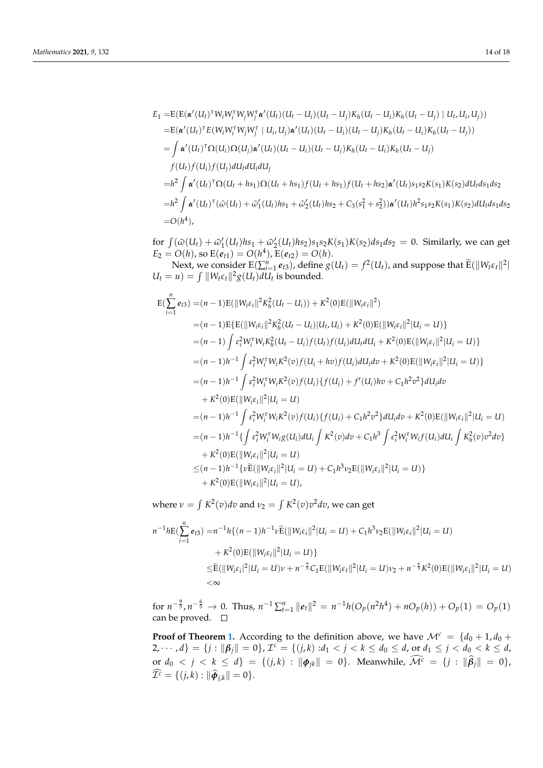$$
E_{1} = E(E(\boldsymbol{\alpha}'(U_{t})^{\mathrm{T}}W_{i}W_{i}^{\mathrm{T}}W_{j}W_{j}^{\mathrm{T}}\boldsymbol{\alpha}'(U_{t})(U_{t} - U_{i})(U_{t} - U_{j})K_{h}(U_{t} - U_{i})K_{h}(U_{t} - U_{j}) | U_{t}, U_{i}, U_{j}))
$$
  
\n
$$
= E(\boldsymbol{\alpha}'(U_{t})^{\mathrm{T}}E(W_{i}W_{i}^{\mathrm{T}}W_{j}W_{j}^{\mathrm{T}} | U_{i}, U_{j})\boldsymbol{\alpha}'(U_{t})(U_{t} - U_{i})(U_{t} - U_{j})K_{h}(U_{t} - U_{i})K_{h}(U_{t} - U_{j}))
$$
  
\n
$$
= \int \boldsymbol{\alpha}'(U_{t})^{\mathrm{T}}\Omega(U_{i})\Omega(U_{j})\boldsymbol{\alpha}'(U_{t})(U_{t} - U_{i})(U_{t} - U_{j})K_{h}(U_{t} - U_{j})K_{h}(U_{t} - U_{j})
$$
  
\n
$$
f(U_{t})f(U_{i})f(U_{j})dU_{t}dU_{i}dU_{j}
$$
  
\n
$$
= h^{2} \int \boldsymbol{\alpha}'(U_{t})^{\mathrm{T}}\Omega(U_{t} + h_{s_{1}})\Omega(U_{t} + h_{s_{1}})f(U_{t} + h_{s_{1}})f(U_{t} + h_{s_{2}})\boldsymbol{\alpha}'(U_{t})s_{1}s_{2}K(s_{1})K(s_{2})dU_{t}ds_{1}ds_{2}
$$
  
\n
$$
= h^{2} \int \boldsymbol{\alpha}'(U_{t})^{\mathrm{T}}(\tilde{\omega}(U_{t}) + \tilde{\omega}'_{1}(U_{t})h_{s_{1}} + \tilde{\omega}'_{2}(U_{t})h_{s_{2}} + C_{3}(s_{1}^{2} + s_{2}^{2}))\boldsymbol{\alpha}'(U_{t})h^{2}s_{1}s_{2}K(s_{1})K(s_{2})dU_{t}ds_{1}ds_{2}
$$
  
\n
$$
= O(h^{4}),
$$

for  $\int (\tilde{\omega}(U_t) + \tilde{\omega}'_1(U_t)hs_1 + \tilde{\omega}'_2(U_t)hs_2) s_1 s_2 K(s_1) K(s_2) ds_1 ds_2 = 0$ . Similarly, we can get  $E_2 = O(h)$ , so  $E(e_{t1}) = O(h^4)$ ,  $E(e_{t2}) = O(h)$ .

Next, we consider  $E(\sum_{i=1}^n e_{t3})$ , define  $g(U_t) = f^2(U_t)$ , and suppose that  $\widetilde{E}(\|W_t \varepsilon_t\|^2)$  $U_t = u$ ) =  $\int ||W_t \varepsilon_t||^2 g(U_t) dU_t$  is bounded.

$$
E(\sum_{i=1}^{n} e_{i3}) = (n-1)E(||W_{i}\varepsilon_{i}||^{2}K_{h}^{2}(U_{t}-U_{i}))+K^{2}(0)E(||W_{i}\varepsilon_{i}||^{2})
$$
  
\n
$$
= (n-1)E\{E(||W_{i}\varepsilon_{i}||^{2}K_{h}^{2}(U_{t}-U_{i})|U_{t},U_{i})+K^{2}(0)E(||W_{i}\varepsilon_{i}||^{2}|U_{i}=U)\}
$$
  
\n
$$
= (n-1)\int \varepsilon_{i}^{2}W_{i}^{\tau}W_{i}K_{h}^{2}(U_{t}-U_{i})f(U_{t})f(U_{i})dU_{t}dU_{i}+K^{2}(0)E(||W_{i}\varepsilon_{i}||^{2}|U_{i}=U)\}
$$
  
\n
$$
= (n-1)h^{-1}\int \varepsilon_{i}^{2}W_{i}^{\tau}W_{i}K^{2}(v)f(U_{i}+hv)f(U_{i})dU_{i}dv+K^{2}(0)E(||W_{i}\varepsilon_{i}||^{2}|U_{i}=U)\}
$$
  
\n
$$
= (n-1)h^{-1}\int \varepsilon_{i}^{2}W_{i}^{\tau}W_{i}K^{2}(v)f(U_{i})\{f(U_{i})+f'(U_{i})hv+C_{1}h^{2}v^{2}\}dU_{i}dv
$$
  
\n
$$
+K^{2}(0)E(||W_{i}\varepsilon_{i}||^{2}|U_{i}=U)
$$
  
\n
$$
= (n-1)h^{-1}\int \varepsilon_{i}^{2}W_{i}^{\tau}W_{i}K^{2}(v)f(U_{i})\{f(U_{i})+C_{1}h^{2}v^{2}\}dU_{i}dv+K^{2}(0)E(||W_{i}\varepsilon_{i}||^{2}|U_{i}=U)
$$
  
\n
$$
= (n-1)h^{-1}\{\int \varepsilon_{i}^{2}W_{i}^{\tau}W_{i}g(U_{i})dU_{i}\int K^{2}(v)dv+C_{1}h^{3}\int \varepsilon_{i}^{2}W_{i}^{\tau}W_{i}f(U_{i})dU_{i}\int K_{h}^{2}(v)v^{2}dv\}
$$
  
\n
$$
+K^{2}(0)E(||W_{i}\varepsilon_{i}||
$$

where  $\nu = \int K^2(v)dv$  and  $\nu_2 = \int K^2(v)v^2dv$ , we can get

$$
n^{-1}h \mathcal{E}(\sum_{i=1}^{n} e_{i3}) = n^{-1}h\{(n-1)h^{-1}\nu \widetilde{\mathcal{E}}(\|W_i \varepsilon_i\|^2 | U_i = U) + C_1 h^3 \nu_2 \mathcal{E}(\|W_i \varepsilon_i\|^2 | U_i = U) + K^2(0)\mathcal{E}(\|W_i \varepsilon_i\|^2 | U_i = U)\} \leq \widetilde{\mathcal{E}}(\|W_i \varepsilon_i\|^2 | U_i = U)\nu + n^{-\frac{9}{5}}C_1\mathcal{E}(\|W_i \varepsilon_i\|^2 | U_i = U)\nu_2 + n^{-\frac{6}{5}}K^2(0)\mathcal{E}(\|W_i \varepsilon_i\|^2 | U_i = U) < \infty
$$

for  $n^{-\frac{9}{5}}$ ,  $n^{-\frac{6}{5}} \to 0$ . Thus,  $n^{-1} \sum_{t=1}^{n} ||e_t||^2 = n^{-1}h(O_p(n^2h^4) + nO_p(h)) + O_p(1) = O_p(1)$ can be proved.  $\square$ 

**Proof of Theorem [1.](#page-5-1)** According to the definition above, we have  $\mathcal{M}^c = \{d_0 + 1, d_0 + 1\}$  $\{2, \dots, d\} = \{j : ||\beta_j|| = 0\}, \mathcal{I}^c = \{(j, k) : d_1 < j < k \le d_0 \le d, \text{ or } d_1 \le j < d_0 < k \le d\}$  $\int_{0}^{\infty} d_0 < j < k \leq d$ } = { $(j,k)$  :  $\|\phi_{jk}\| = 0$ }. Meanwhile,  $\mathcal{M}^c = \{j : \|\beta_j\| = 0\}$ ,  $\widehat{\mathcal{I}^c} = \{ (j,k) : ||\widehat{\boldsymbol{\phi}}_{j,k}|| = 0 \}.$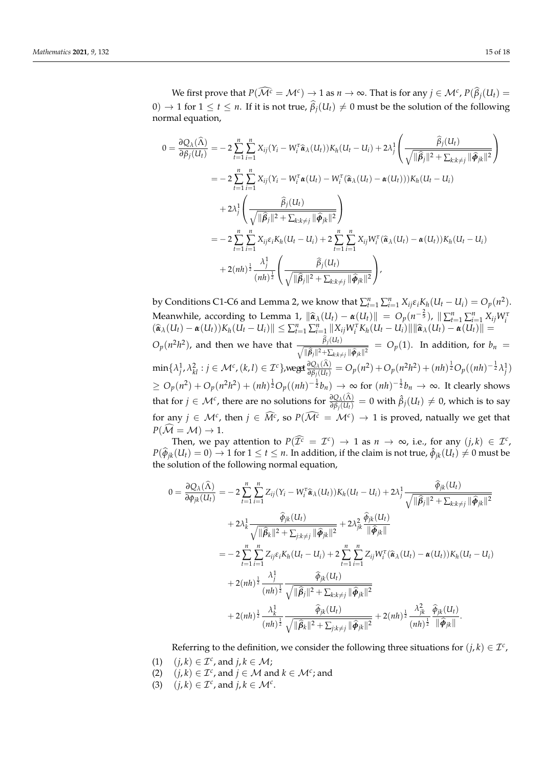We first prove that  $P(\widehat{\mathcal{M}^c} = \mathcal{M}^c) \to 1$  as  $n \to \infty$ . That is for any  $j \in \mathcal{M}^c$ ,  $P(\widehat{\beta}_j(U_t) =$  $0)$  → 1 for  $1 \le t \le n$ . If it is not true,  $β_j(U_t) ≠ 0$  must be the solution of the following normal equation,

$$
0 = \frac{\partial Q_{\lambda}(\widehat{\Lambda})}{\partial \beta_j(U_t)} = -2 \sum_{t=1}^n \sum_{i=1}^n X_{ij} (Y_i - W_i^{\tau} \widehat{\alpha}_{\lambda}(U_t)) K_h (U_t - U_i) + 2 \lambda_j^1 \left( \frac{\widehat{\beta}_j(U_t)}{\sqrt{\|\widehat{\beta}_j\|^2 + \sum_{k:k \neq j} \|\widehat{\phi}_{jk}\|^2}} \right)
$$
  
\n
$$
= -2 \sum_{t=1}^n \sum_{i=1}^n X_{ij} (Y_i - W_i^{\tau} \alpha(U_t) - W_i^{\tau} (\widehat{\alpha}_{\lambda}(U_t) - \alpha(U_t))) K_h (U_t - U_i)
$$
  
\n
$$
+ 2 \lambda_j^1 \left( \frac{\widehat{\beta}_j(U_t)}{\sqrt{\|\widehat{\beta}_j\|^2 + \sum_{k:k \neq j} \|\widehat{\phi}_{jk}\|^2}} \right)
$$
  
\n
$$
= -2 \sum_{t=1}^n \sum_{i=1}^n X_{ij} \varepsilon_i K_h (U_t - U_i) + 2 \sum_{t=1}^n \sum_{i=1}^n X_{ij} W_i^{\tau} (\widehat{\alpha}_{\lambda}(U_t) - \alpha(U_t)) K_h (U_t - U_i)
$$
  
\n
$$
+ 2(nh)^{\frac{1}{2}} \frac{\lambda_j^1}{(nh)^{\frac{1}{2}}} \left( \frac{\widehat{\beta}_j(U_t)}{\sqrt{\|\widehat{\beta}_j\|^2 + \sum_{k:k \neq j} \|\widehat{\phi}_{jk}\|^2}} \right),
$$

by Conditions C1-C6 and Lemma 2, we know that  $\sum_{t=1}^{n}\sum_{i=1}^{n}X_{ij}\varepsilon_{i}K_{h}(U_{t}-U_{i})=O_{p}(n^{2}).$ Meanwhile, according to Lemma 1,  $\|\hat{\boldsymbol{\alpha}}_{\lambda}(U_t) - \boldsymbol{\alpha}(U_t)\| = O_p(n^{-\frac{2}{5}})$ ,  $\|\sum_{t=1}^n \sum_{i=1}^n X_{ij}W_i^T(\hat{\boldsymbol{\alpha}}_{\lambda}(U_t) - \boldsymbol{\alpha}(U_t))K_h(U_t - U_i)\| \le \sum_{t=1}^n \sum_{i=1}^n \|\boldsymbol{X}_{ij}W_i^T K_h(U_t - U_i)\| \|\hat{\boldsymbol{\alpha}}_{\lambda}(U_t) - \boldsymbol{\alpha}(U_t)\| =$  $O_p(n^2h^2)$ , and then we have that  $\frac{\beta_j(U_t)}{\sqrt{|\hat{G}_t|^2 + |\hat{G}_t|^2}}$  $\sqrt{\|\hat{\beta}_j\|^2 + \sum_{k:k\neq j} \|\hat{\phi}_{jk}\|^2}$  = *O*<sub>*p*</sub>(1). In addition, for *b<sub>n</sub>* =  $\min\{\lambda_j^1,\lambda_{kl}^2:j\in\mathcal{M}^c,(k,l)\in\mathcal{I}^c\},$ weget $\frac{\partial Q_\lambda(\Lambda)}{\partial \beta_j(U_l)}=O_p(n^2)+O_p(n^2h^2)+(nh)^{\frac{1}{2}}O_p((nh)^{-\frac{1}{2}}\lambda_j^1)$  $\geq O_p(n^2) + O_p(n^2h^2) + (nh)^{\frac{1}{2}}O_p((nh)^{-\frac{1}{2}}b_n) \to ∞$  for  $(nh)^{-\frac{1}{2}}b_n \to ∞$ . It clearly shows that for  $j \in M^c$ , there are no solutions for  $\frac{\partial Q_A(\Lambda)}{\partial \beta_j(U_t)}=0$  with  $\hat{\beta}_j(U_t)\neq 0$ , which is to say for any  $j \in \mathcal{M}^c$ , then  $j \in \widehat{M}^c$ , so  $P(\widehat{\mathcal{M}^c} = \mathcal{M}^c) \rightarrow 1$  is proved, natually we get that  $P(\mathcal{M} = \mathcal{M}) \rightarrow 1$ .

Then, we pay attention to  $P(\widehat{\mathcal{I}^c} = \mathcal{I}^c) \rightarrow 1$  as  $n \rightarrow \infty$ , i.e., for any  $(j,k) \in \mathcal{I}^c$ , *P*( $\widehat{\phi}_{jk}(U_t) = 0$ ) → 1 for  $1 \le t \le n$ . In addition, if the claim is not true,  $\widehat{\phi}_{jk}(U_t) \ne 0$  must be the solution of the following normal equation,

$$
0 = \frac{\partial Q_{\lambda}(\widehat{\Lambda})}{\partial \phi_{jk}(U_t)} = -2 \sum_{t=1}^n \sum_{i=1}^n Z_{ij} (Y_i - W_i^{\tau} \widehat{\alpha}_{\lambda}(U_t)) K_h (U_t - U_i) + 2 \lambda_j^1 \frac{\widehat{\phi}_{jk}(U_t)}{\sqrt{\|\widehat{\beta}_j\|^2 + \sum_{k:k \neq j} \|\widehat{\phi}_{jk}\|^2}} + 2 \lambda_k^1 \frac{\widehat{\phi}_{jk}(U_t)}{\sqrt{\|\widehat{\beta}_k\|^2 + \sum_{j:k \neq j} \|\widehat{\phi}_{jk}\|^2}} + 2 \lambda_{jk}^2 \frac{\widehat{\phi}_{jk}(U_t)}{\|\widehat{\phi}_{jk}\|} = -2 \sum_{t=1}^n \sum_{i=1}^n Z_{ij} \varepsilon_i K_h (U_t - U_i) + 2 \sum_{t=1}^n \sum_{i=1}^n Z_{ij} W_i^{\tau} (\widehat{\alpha}_{\lambda}(U_t) - \alpha(U_t)) K_h (U_t - U_i) + 2(nh)^{\frac{1}{2}} \frac{\lambda_j^1}{\sqrt{\|\widehat{\beta}_j\|^2 + \sum_{k:k \neq j} \|\widehat{\phi}_{jk}\|^2}} + 2(nh)^{\frac{1}{2}} \frac{\widehat{\phi}_{jk}(U_t)}{(nh)^{\frac{1}{2}}} \frac{\widehat{\phi}_{jk}(U_t)}{\sqrt{\|\widehat{\beta}_j\|^2 + \sum_{j:k \neq j} \|\widehat{\phi}_{jk}\|^2}} + 2(nh)^{\frac{1}{2}} \frac{\lambda_{jk}^2}{\sqrt{\|\widehat{\phi}_k\|^2}}.
$$

Referring to the definition, we consider the following three situations for  $(j, k) \in \mathcal{I}^c$ ,

- (1)  $(j, k) \in \mathcal{I}^c$ , and  $j, k \in \mathcal{M}$ ;
- (2)  $(j, k) \in \mathcal{I}^c$ , and  $j \in \mathcal{M}$  and  $k \in \mathcal{M}^c$ ; and
- (3)  $(j, k) \in \mathcal{I}^c$ , and  $j, k \in \mathcal{M}^c$ .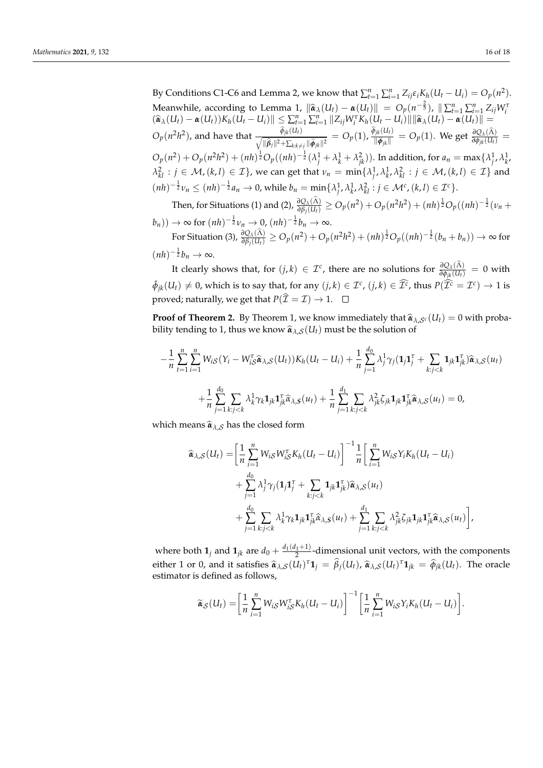By Conditions C1-C6 and Lemma 2, we know that  $\sum_{t=1}^{n} \sum_{i=1}^{n} Z_{ij} \varepsilon_i K_h (U_t - U_i) = O_p(n^2)$ . Meanwhile, according to Lemma 1,  $\|\hat{\boldsymbol{\alpha}}_{\lambda}(U_t) - \boldsymbol{\alpha}(U_t)\| = O_p(n^{-\frac{2}{5}})$ ,  $\|\sum_{t=1}^n \sum_{i=1}^n Z_{ij}W_i^T(\hat{\boldsymbol{\alpha}}_{\lambda}(U_t) - \boldsymbol{\alpha}(U_t))K_h(U_t - U_i)\| \le \sum_{t=1}^n \sum_{i=1}^n \sum_{i=1}^n \|Z_{ij}W_i^T K_h(U_t - U_i)\| \|\hat{\boldsymbol{\alpha}}_{\lambda}(U_t) - \boldsymbol{\alpha}(U_t)\| =$  $O_p(n^2h^2)$ , and have that  $\frac{\widetilde{\phi}_{jk}(U_t)}{\sqrt{\|\widehat{\beta}_j\|^2 + \sum_{k:k\neq j} \|\widehat{\phi}_{jk}\|^2}} = O_p(1)$ ,  $\frac{\widetilde{\phi}_{jk}(U_t)}{\|\widehat{\phi}_{jk}\|}$  $\frac{\partial_{jk}(U_t)}{\partial \hat{\phi}_{jk}||} = O_p(1)$ . We get  $\frac{\partial Q_\lambda(\hat{\Lambda})}{\partial \phi_{jk}(U_t)} =$  $O_p(n^2) + O_p(n^2h^2) + (nh)^{\frac{1}{2}}O_p((nh)^{-\frac{1}{2}}(\lambda_j^1 + \lambda_k^1 + \lambda_{jk}^2))$ . In addition, for  $a_n = \max{\{\lambda_j^1, \lambda_k^1, \lambda_k^2\}}$  $\lambda_{kl}^2 : j \in \mathcal{M}$ ,  $(k,l) \in \mathcal{I}$ , we can get that  $\nu_n = \min\{\lambda_{j}^1, \lambda_{k'}^1, \lambda_{kl}^2 : j \in \mathcal{M}$ ,  $(k,l) \in \mathcal{I}\}$  and  $(nh)^{-\frac{1}{2}}\nu_n \leq (nh)^{-\frac{1}{2}}a_n \to 0$ , while  $b_n = \min\{\lambda_j^1, \lambda_k^1, \lambda_k^2 : j \in \mathcal{M}^c, (k, l) \in \mathcal{I}^c\}.$ 

Then, for Situations (1) and (2),  $\frac{\partial Q_\lambda(\Lambda)}{\partial \beta_j(U_t)}\geq O_p(n^2)+O_p(n^2h^2)+(nh)^{\frac{1}{2}}O_p((nh)^{-\frac{1}{2}}(\nu_n+1))$ 

 $(b_n)) \to \infty$  for  $(nh)^{-\frac{1}{2}}v_n \to 0$ ,  $(nh)^{-\frac{1}{2}}b_n \to \infty$ . For Situation (3),  $\frac{\partial Q_\lambda(\Lambda)}{\partial \beta_j(U_t)}\geq O_p(n^2)+O_p(n^2h^2)+(nh)^{\frac{1}{2}}O_p((nh)^{-\frac{1}{2}}(b_n+b_n))\to\infty$  for  $(nh)^{-\frac{1}{2}}b_n \to \infty.$ 

It clearly shows that, for  $(j, k) \in \mathcal{I}^c$ , there are no solutions for  $\frac{\partial Q_A(\Lambda)}{\partial \phi_{jk}(U_t)} = 0$  with  $\hat{\phi}_{jk}(U_t) \neq 0$ , which is to say that, for any  $(j, k) \in \mathcal{I}^c$ ,  $(j, k) \in \widehat{\mathcal{I}^c}$ , thus  $P(\widehat{\mathcal{I}^c} = \mathcal{I}^c) \to 1$  is proved; naturally, we get that  $P(\hat{\mathcal{I}} = \mathcal{I}) \rightarrow 1$ .  $\Box$ 

**Proof of Theorem 2.** By Theorem 1, we know immediately that  $\hat{\boldsymbol{\alpha}}_{\lambda,\mathcal{S}^c}(U_t) = 0$  with probability tending to 1, thus we know  $\hat{\boldsymbol{a}}_{\lambda,\mathcal{S}}(U_t)$  must be the solution of

$$
-\frac{1}{n}\sum_{t=1}^{n}\sum_{i=1}^{n}W_{iS}(Y_{i}-W_{iS}^{\tau}\hat{\alpha}_{\lambda,S}(U_{t}))K_{h}(U_{t}-U_{i})+\frac{1}{n}\sum_{j=1}^{d_{0}}\lambda_{j}^{1}\gamma_{j}(\mathbf{1}_{j}\mathbf{1}_{j}^{\tau}+\sum_{k:j
$$

which means  $\hat{\boldsymbol{\alpha}}_{\lambda,\mathcal{S}}$  has the closed form

$$
\begin{split}\n\widehat{\alpha}_{\lambda,\mathcal{S}}(U_t) &= \left[\frac{1}{n}\sum_{i=1}^n W_{i\mathcal{S}} W_{i\mathcal{S}}^\tau K_h (U_t - U_i)\right]^{-1} \frac{1}{n} \left[\sum_{i=1}^n W_{i\mathcal{S}} Y_i K_h (U_t - U_i) \right. \\
&\quad \left. + \sum_{j=1}^{d_0} \lambda_j^1 \gamma_j (\mathbf{1}_j \mathbf{1}_j^\tau + \sum_{k:j < k} \mathbf{1}_{jk} \mathbf{1}_{jk}^\tau) \widehat{\alpha}_{\lambda,\mathcal{S}}(u_t) \right. \\
&\quad \left. + \sum_{j=1}^{d_0} \sum_{k:j < k} \lambda_k^1 \gamma_k \mathbf{1}_{jk} \widehat{\alpha}_{\lambda,\mathcal{S}}(u_t) + \sum_{j=1}^{d_1} \sum_{k:j < k} \lambda_{jk}^2 \zeta_{jk} \mathbf{1}_{jk} \mathbf{1}_{jk}^\tau \widehat{\alpha}_{\lambda,\mathcal{S}}(u_t) \right],\n\end{split}
$$

where both  $\mathbf{1}_j$  and  $\mathbf{1}_{jk}$  are  $d_0 + \frac{d_1(d_1+1)}{2}$ -dimensional unit vectors, with the components either 1 or 0, and it satisfies  $\hat{\alpha}_{\lambda, S}(U_t)^{\tau} \mathbf{1}_j = \hat{\beta}_j(U_t)$ ,  $\hat{\alpha}_{\lambda, S}(U_t)^{\tau} \mathbf{1}_{jk} = \hat{\phi}_{jk}(U_t)$ . The oracle estimator is defined as follows. estimator is defined as follows,

$$
\widetilde{\alpha}_{\mathcal{S}}(U_t) = \left[\frac{1}{n}\sum_{i=1}^n W_{i\mathcal{S}}W_{i\mathcal{S}}^\tau K_h(U_t - U_i)\right]^{-1} \left[\frac{1}{n}\sum_{i=1}^n W_{i\mathcal{S}}Y_iK_h(U_t - U_i)\right].
$$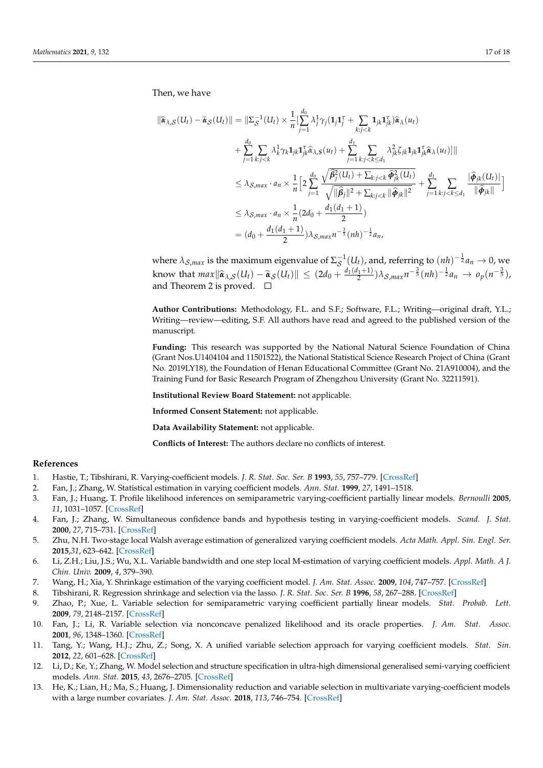Then, we have

$$
\begin{split}\n\|\widehat{\mathbf{a}}_{\lambda,\mathcal{S}}(U_{t}) - \widetilde{\mathbf{a}}_{\mathcal{S}}(U_{t})\| &= \|\Sigma_{\mathcal{S}}^{-1}(U_{t}) \times \frac{1}{n}\left[\sum_{j=1}^{d_{0}} \lambda_{j}^{1} \gamma_{j} (\mathbf{1}_{j} \mathbf{1}_{j}^{\mathrm{T}} + \sum_{k:j < k} \mathbf{1}_{jk} \mathbf{1}_{jk}^{\mathrm{T}}) \widehat{\mathbf{a}}_{\lambda}(u_{t}) \right. \\
&\quad + \sum_{j=1}^{d_{0}} \sum_{k:j < k} \lambda_{k}^{1} \gamma_{k} \mathbf{1}_{jk} \mathbf{1}_{jk}^{\mathrm{T}} \widehat{\mathbf{a}}_{\lambda,\mathcal{S}}(u_{t}) + \sum_{j=1}^{d_{1}} \sum_{k:j < k \leq d_{1}} \lambda_{jk}^{2} \zeta_{jk} \mathbf{1}_{jk} \mathbf{1}_{jk}^{\mathrm{T}} \widehat{\mathbf{a}}_{\lambda}(u_{t})\| \| \\
&\leq \lambda_{\mathcal{S},max} \cdot a_{n} \times \frac{1}{n} \Big[ 2 \sum_{j=1}^{d_{0}} \frac{\sqrt{\widehat{\beta}_{j}^{2}(U_{t}) + \sum_{k:j < k} \widehat{\phi}_{jk}^{2}(U_{t})}}{\sqrt{\|\widehat{\beta}_{j}\|^{2} + \sum_{k:j < k} \|\widehat{\phi}_{jk}\|^{2}}} + \sum_{j=1}^{d_{1}} \sum_{k:j < k \leq d_{1}} \frac{\|\widehat{\phi}_{jk}(U_{t})\|}{\|\widehat{\phi}_{jk}\|} \Big] \\
&\leq \lambda_{\mathcal{S},max} \cdot a_{n} \times \frac{1}{n} (2d_{0} + \frac{d_{1}(d_{1} + 1)}{2}) \\
&= (d_{0} + \frac{d_{1}(d_{1} + 1)}{2}) \lambda_{\mathcal{S},max} n^{-\frac{3}{5}} (nh)^{-\frac{1}{2}} a_{n},\n\end{split}
$$

where  $\lambda_{\mathcal{S},max}$  is the maximum eigenvalue of  $\Sigma^{-1}_\mathcal{S}(U_t)$ , and, referring to  $(nh)^{-\frac{1}{2}}a_n\to 0$ , we know that  $max \|\hat{\boldsymbol{\alpha}}_{\lambda,S}(U_t) - \tilde{\boldsymbol{\alpha}}_S(U_t)\| \leq (2d_0 + \frac{d_1(d_1+1)}{2})\lambda_{S,max}n^{-\frac{3}{5}}(nh)^{-\frac{1}{2}}a_n \to o_p(n^{-\frac{3}{5}})$ and Theorem 2 is proved.  $\square$ 

**Author Contributions:** Methodology, F.L. and S.F.; Software, F.L.; Writing—original draft, Y.L.; Writing—review—editing, S.F. All authors have read and agreed to the published version of the manuscript.

**Funding:** This research was supported by the National Natural Science Foundation of China (Grant Nos.U1404104 and 11501522), the National Statistical Science Research Project of China (Grant No. 2019LY18), the Foundation of Henan Educational Committee (Grant No. 21A910004), and the Training Fund for Basic Research Program of Zhengzhou University (Grant No. 32211591).

**Institutional Review Board Statement:** not applicable.

**Informed Consent Statement:** not applicable.

**Data Availability Statement:** not applicable.

**Conflicts of Interest:** The authors declare no conflicts of interest.

#### **References**

- <span id="page-16-0"></span>1. Hastie, T.; Tibshirani, R. Varying-coefficient models. *J. R. Stat. Soc. Ser. B* **1993**, *55*, 757–779. [\[CrossRef\]](http://doi.org/10.1111/j.2517-6161.1993.tb01939.x)
- <span id="page-16-1"></span>2. Fan, J.; Zhang, W. Statistical estimation in varying coefficient models. *Ann. Stat.* **1999**, *27*, 1491–1518.
- <span id="page-16-10"></span>3. Fan, J.; Huang, T. Profile likelihood inferences on semiparametric varying-coefficient partially linear models. *Bernoulli* **2005**, *11*, 1031–1057. [\[CrossRef\]](http://dx.doi.org/10.3150/bj/1137421639)
- 4. Fan, J.; Zhang, W. Simultaneous confidence bands and hypothesis testing in varying-coefficient models. *Scand. J. Stat.* **2000**, *27*, 715–731. [\[CrossRef\]](http://dx.doi.org/10.1111/1467-9469.00218)
- 5. Zhu, N.H. Two-stage local Walsh average estimation of generalized varying coefficient models. *Acta Math. Appl. Sin. Engl. Ser.* **2015**,*31*, 623–642. [\[CrossRef\]](http://dx.doi.org/10.1007/s10255-015-0490-4)
- <span id="page-16-2"></span>6. Li, Z.H.; Liu, J.S.; Wu, X.L. Variable bandwidth and one step local M-estimation of varying coefficient models. *Appl. Math. A J. Chin. Univ.* **2009**, *4*, 379–390.
- <span id="page-16-3"></span>7. Wang, H.; Xia, Y. Shrinkage estimation of the varying coefficient model. *J. Am. Stat. Assoc.* **2009**, *104*, 747–757. [\[CrossRef\]](http://dx.doi.org/10.1198/jasa.2009.0138)
- <span id="page-16-4"></span>8. Tibshirani, R. Regression shrinkage and selection via the lasso. *J. R. Stat. Soc. Ser. B* **1996**, *58*, 267–288. [\[CrossRef\]](http://dx.doi.org/10.1111/j.2517-6161.1996.tb02080.x)
- <span id="page-16-5"></span>9. Zhao, P.; Xue, L. Variable selection for semiparametric varying coefficient partially linear models. *Stat. Probab. Lett.* **2009**, *79*, 2148–2157. [\[CrossRef\]](http://dx.doi.org/10.1016/j.spl.2009.07.004)
- <span id="page-16-6"></span>10. Fan, J.; Li, R. Variable selection via nonconcave penalized likelihood and its oracle properties. *J. Am. Stat. Assoc.* **2001**, *96*, 1348–1360. [\[CrossRef\]](http://dx.doi.org/10.1198/016214501753382273)
- <span id="page-16-7"></span>11. Tang, Y.; Wang, H.J.; Zhu, Z.; Song, X. A unified variable selection approach for varying coefficient models. *Stat. Sin.* **2012**, *22*, 601–628. [\[CrossRef\]](http://dx.doi.org/10.5705/ss.2010.121)
- <span id="page-16-8"></span>12. Li, D.; Ke, Y.; Zhang, W. Model selection and structure specification in ultra-high dimensional generalised semi-varying coefficient models. *Ann. Stat.* **2015**, *43*, 2676–2705. [\[CrossRef\]](http://dx.doi.org/10.1214/15-AOS1356)
- <span id="page-16-9"></span>13. He, K.; Lian, H.; Ma, S.; Huang, J. Dimensionality reduction and variable selection in multivariate varying-coefficient models with a large number covariates. *J. Am. Stat. Assoc.* **2018**, *113*, 746–754. [\[CrossRef\]](http://dx.doi.org/10.1080/01621459.2017.1285774)